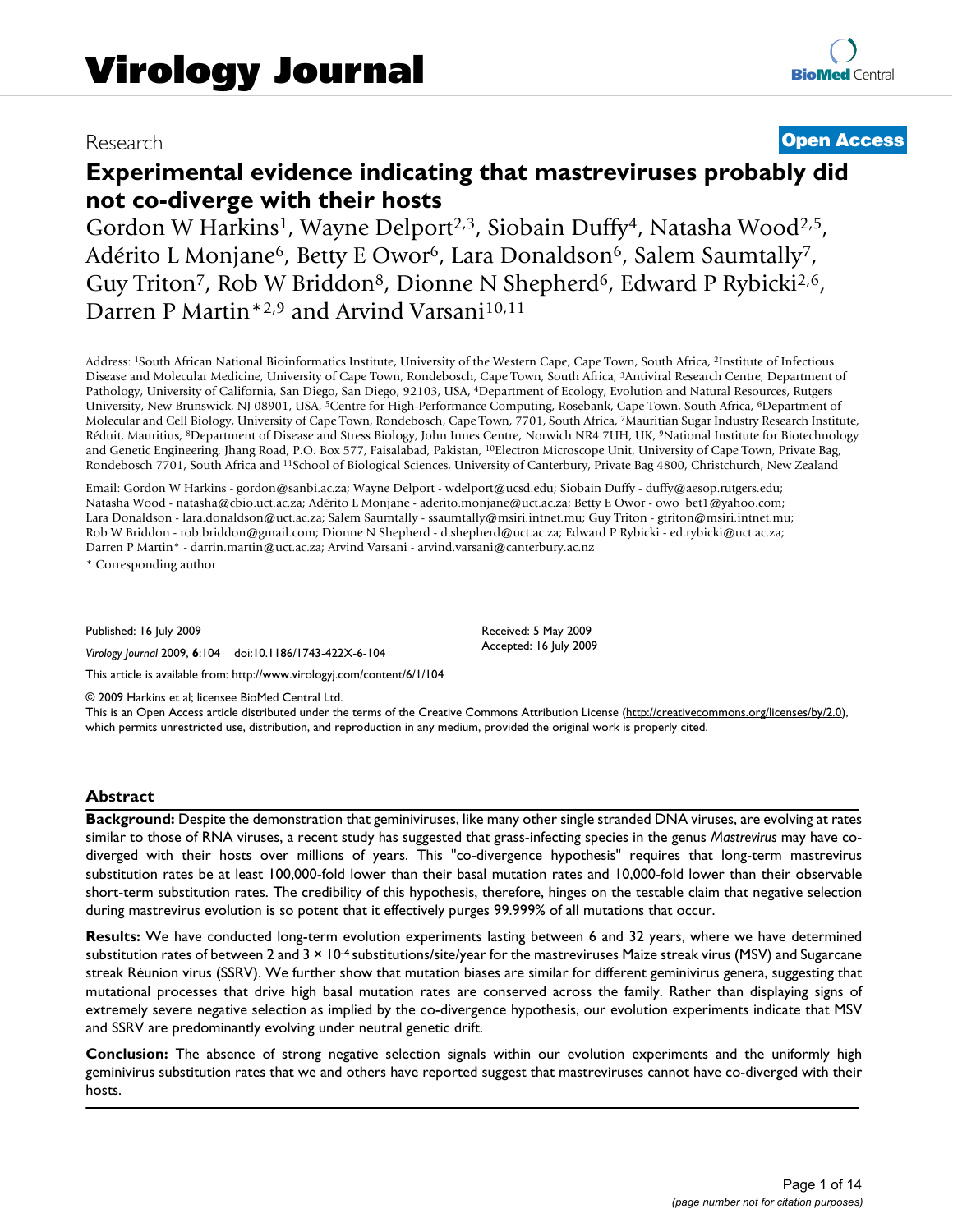# Research **[Open Access](http://www.biomedcentral.com/info/about/charter/)**

# **Experimental evidence indicating that mastreviruses probably did not co-diverge with their hosts**

Gordon W Harkins<sup>1</sup>, Wayne Delport<sup>2,3</sup>, Siobain Duffy<sup>4</sup>, Natasha Wood<sup>2,5</sup>, Adérito L Monjane<sup>6</sup>, Betty E Owor<sup>6</sup>, Lara Donaldson<sup>6</sup>, Salem Saumtally<sup>7</sup>, Guy Triton<sup>7</sup>, Rob W Briddon<sup>8</sup>, Dionne N Shepherd<sup>6</sup>, Edward P Rybicki<sup>2,6</sup>, Darren P Martin<sup>\*2,9</sup> and Arvind Varsani<sup>10,11</sup>

Address: 1South African National Bioinformatics Institute, University of the Western Cape, Cape Town, South Africa, 2Institute of Infectious Disease and Molecular Medicine, University of Cape Town, Rondebosch, Cape Town, South Africa, 3Antiviral Research Centre, Department of Pathology, University of California, San Diego, San Diego, 92103, USA, 4Department of Ecology, Evolution and Natural Resources, Rutgers University, New Brunswick, NJ 08901, USA, 5Centre for High-Performance Computing, Rosebank, Cape Town, South Africa, 6Department of Molecular and Cell Biology, University of Cape Town, Rondebosch, Cape Town, 7701, South Africa, 7Mauritian Sugar Industry Research Institute, Réduit, Mauritius, 8Department of Disease and Stress Biology, John Innes Centre, Norwich NR4 7UH, UK, 9National Institute for Biotechnology and Genetic Engineering, Jhang Road, P.O. Box 577, Faisalabad, Pakistan, 10Electron Microscope Unit, University of Cape Town, Private Bag, Rondebosch 7701, South Africa and 11School of Biological Sciences, University of Canterbury, Private Bag 4800, Christchurch, New Zealand

Email: Gordon W Harkins - gordon@sanbi.ac.za; Wayne Delport - wdelport@ucsd.edu; Siobain Duffy - duffy@aesop.rutgers.edu; Natasha Wood - natasha@cbio.uct.ac.za; Adérito L Monjane - aderito.monjane@uct.ac.za; Betty E Owor - owo\_bet1@yahoo.com; Lara Donaldson - lara.donaldson@uct.ac.za; Salem Saumtally - ssaumtally@msiri.intnet.mu; Guy Triton - gtriton@msiri.intnet.mu; Rob W Briddon - rob.briddon@gmail.com; Dionne N Shepherd - d.shepherd@uct.ac.za; Edward P Rybicki - ed.rybicki@uct.ac.za; Darren P Martin\* - darrin.martin@uct.ac.za; Arvind Varsani - arvind.varsani@canterbury.ac.nz

\* Corresponding author

Published: 16 July 2009

*Virology Journal* 2009, **6**:104 doi:10.1186/1743-422X-6-104

[This article is available from: http://www.virologyj.com/content/6/1/104](http://www.virologyj.com/content/6/1/104)

© 2009 Harkins et al; licensee BioMed Central Ltd.

This is an Open Access article distributed under the terms of the Creative Commons Attribution License [\(http://creativecommons.org/licenses/by/2.0\)](http://creativecommons.org/licenses/by/2.0), which permits unrestricted use, distribution, and reproduction in any medium, provided the original work is properly cited.

Received: 5 May 2009 Accepted: 16 July 2009

#### **Abstract**

**Background:** Despite the demonstration that geminiviruses, like many other single stranded DNA viruses, are evolving at rates similar to those of RNA viruses, a recent study has suggested that grass-infecting species in the genus *Mastrevirus* may have codiverged with their hosts over millions of years. This "co-divergence hypothesis" requires that long-term mastrevirus substitution rates be at least 100,000-fold lower than their basal mutation rates and 10,000-fold lower than their observable short-term substitution rates. The credibility of this hypothesis, therefore, hinges on the testable claim that negative selection during mastrevirus evolution is so potent that it effectively purges 99.999% of all mutations that occur.

**Results:** We have conducted long-term evolution experiments lasting between 6 and 32 years, where we have determined substitution rates of between 2 and  $3 \times 10^{-4}$  substitutions/site/year for the mastreviruses Maize streak virus (MSV) and Sugarcane streak Réunion virus (SSRV). We further show that mutation biases are similar for different geminivirus genera, suggesting that mutational processes that drive high basal mutation rates are conserved across the family. Rather than displaying signs of extremely severe negative selection as implied by the co-divergence hypothesis, our evolution experiments indicate that MSV and SSRV are predominantly evolving under neutral genetic drift.

**Conclusion:** The absence of strong negative selection signals within our evolution experiments and the uniformly high geminivirus substitution rates that we and others have reported suggest that mastreviruses cannot have co-diverged with their hosts.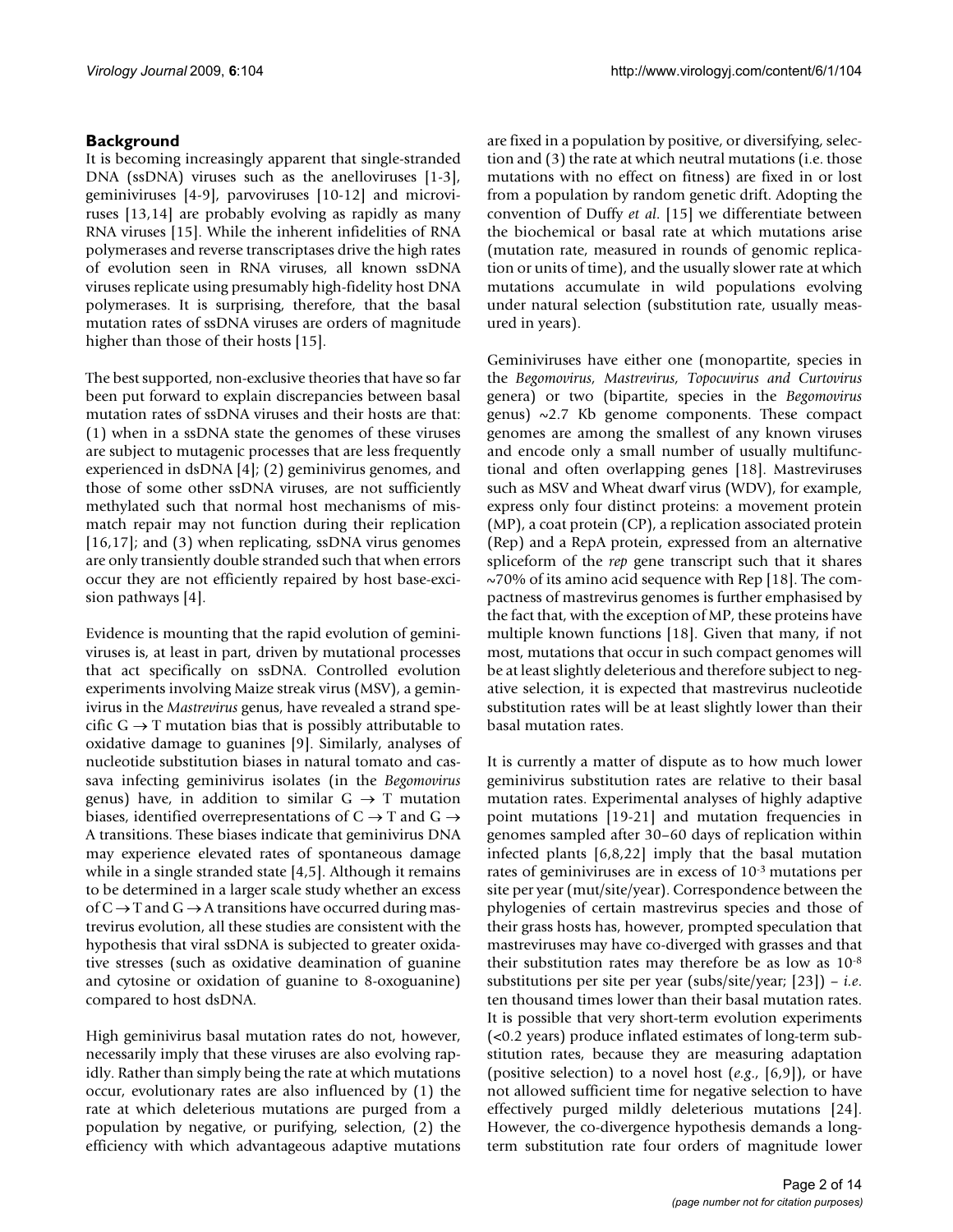# **Background**

It is becoming increasingly apparent that single-stranded DNA (ssDNA) viruses such as the anelloviruses [1-3], geminiviruses [4-9], parvoviruses [10-12] and microviruses [13,14] are probably evolving as rapidly as many RNA viruses [15]. While the inherent infidelities of RNA polymerases and reverse transcriptases drive the high rates of evolution seen in RNA viruses, all known ssDNA viruses replicate using presumably high-fidelity host DNA polymerases. It is surprising, therefore, that the basal mutation rates of ssDNA viruses are orders of magnitude higher than those of their hosts [15].

The best supported, non-exclusive theories that have so far been put forward to explain discrepancies between basal mutation rates of ssDNA viruses and their hosts are that: (1) when in a ssDNA state the genomes of these viruses are subject to mutagenic processes that are less frequently experienced in dsDNA [4]; (2) geminivirus genomes, and those of some other ssDNA viruses, are not sufficiently methylated such that normal host mechanisms of mismatch repair may not function during their replication [16,17]; and (3) when replicating, ssDNA virus genomes are only transiently double stranded such that when errors occur they are not efficiently repaired by host base-excision pathways [4].

Evidence is mounting that the rapid evolution of geminiviruses is, at least in part, driven by mutational processes that act specifically on ssDNA. Controlled evolution experiments involving Maize streak virus (MSV), a geminivirus in the *Mastrevirus* genus, have revealed a strand specific  $G \rightarrow T$  mutation bias that is possibly attributable to oxidative damage to guanines [9]. Similarly, analyses of nucleotide substitution biases in natural tomato and cassava infecting geminivirus isolates (in the *Begomovirus* genus) have, in addition to similar  $G \rightarrow T$  mutation biases, identified overrepresentations of  $C \rightarrow T$  and  $G \rightarrow$ A transitions. These biases indicate that geminivirus DNA may experience elevated rates of spontaneous damage while in a single stranded state [4,5]. Although it remains to be determined in a larger scale study whether an excess of  $C \rightarrow T$  and  $G \rightarrow A$  transitions have occurred during mastrevirus evolution, all these studies are consistent with the hypothesis that viral ssDNA is subjected to greater oxidative stresses (such as oxidative deamination of guanine and cytosine or oxidation of guanine to 8-oxoguanine) compared to host dsDNA.

High geminivirus basal mutation rates do not, however, necessarily imply that these viruses are also evolving rapidly. Rather than simply being the rate at which mutations occur, evolutionary rates are also influenced by (1) the rate at which deleterious mutations are purged from a population by negative, or purifying, selection, (2) the efficiency with which advantageous adaptive mutations are fixed in a population by positive, or diversifying, selection and (3) the rate at which neutral mutations (i.e. those mutations with no effect on fitness) are fixed in or lost from a population by random genetic drift. Adopting the convention of Duffy *et al*. [15] we differentiate between the biochemical or basal rate at which mutations arise (mutation rate, measured in rounds of genomic replication or units of time), and the usually slower rate at which mutations accumulate in wild populations evolving under natural selection (substitution rate, usually measured in years).

Geminiviruses have either one (monopartite, species in the *Begomovirus, Mastrevirus, Topocuvirus and Curtovirus* genera) or two (bipartite, species in the *Begomovirus* genus) ~2.7 Kb genome components. These compact genomes are among the smallest of any known viruses and encode only a small number of usually multifunctional and often overlapping genes [18]. Mastreviruses such as MSV and Wheat dwarf virus (WDV), for example, express only four distinct proteins: a movement protein (MP), a coat protein (CP), a replication associated protein (Rep) and a RepA protein, expressed from an alternative spliceform of the *rep* gene transcript such that it shares ~70% of its amino acid sequence with Rep [18]. The compactness of mastrevirus genomes is further emphasised by the fact that, with the exception of MP, these proteins have multiple known functions [18]. Given that many, if not most, mutations that occur in such compact genomes will be at least slightly deleterious and therefore subject to negative selection, it is expected that mastrevirus nucleotide substitution rates will be at least slightly lower than their basal mutation rates.

It is currently a matter of dispute as to how much lower geminivirus substitution rates are relative to their basal mutation rates. Experimental analyses of highly adaptive point mutations [19-21] and mutation frequencies in genomes sampled after 30–60 days of replication within infected plants [6,8,22] imply that the basal mutation rates of geminiviruses are in excess of 10-3 mutations per site per year (mut/site/year). Correspondence between the phylogenies of certain mastrevirus species and those of their grass hosts has, however, prompted speculation that mastreviruses may have co-diverged with grasses and that their substitution rates may therefore be as low as 10-8 substitutions per site per year (subs/site/year; [23]) – *i.e*. ten thousand times lower than their basal mutation rates. It is possible that very short-term evolution experiments (<0.2 years) produce inflated estimates of long-term substitution rates, because they are measuring adaptation (positive selection) to a novel host (*e.g*., [6,9]), or have not allowed sufficient time for negative selection to have effectively purged mildly deleterious mutations [24]. However, the co-divergence hypothesis demands a longterm substitution rate four orders of magnitude lower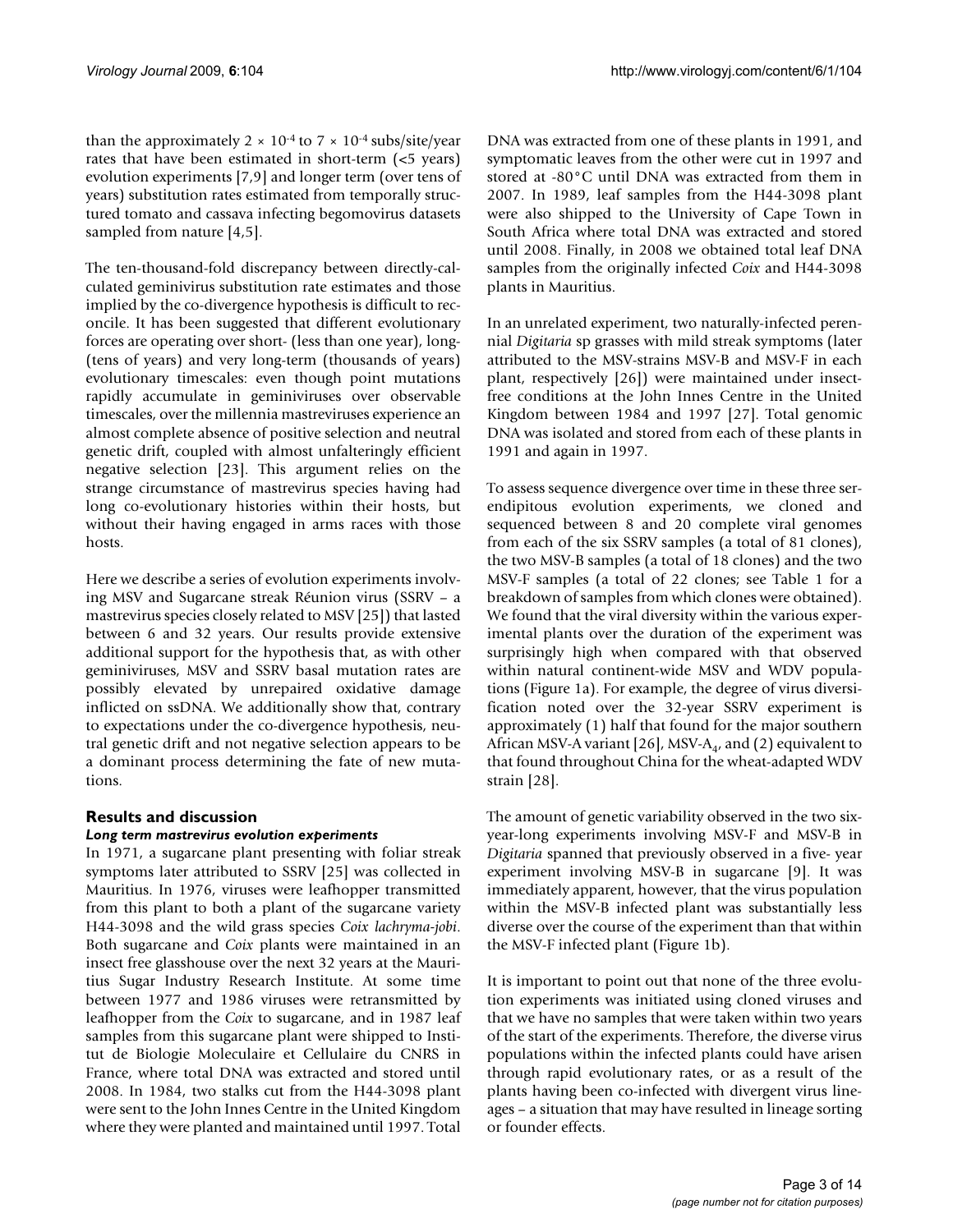than the approximately  $2 \times 10^{-4}$  to  $7 \times 10^{-4}$  subs/site/year rates that have been estimated in short-term (<5 years) evolution experiments [7,9] and longer term (over tens of years) substitution rates estimated from temporally structured tomato and cassava infecting begomovirus datasets sampled from nature [4,5].

The ten-thousand-fold discrepancy between directly-calculated geminivirus substitution rate estimates and those implied by the co-divergence hypothesis is difficult to reconcile. It has been suggested that different evolutionary forces are operating over short- (less than one year), long- (tens of years) and very long-term (thousands of years) evolutionary timescales: even though point mutations rapidly accumulate in geminiviruses over observable timescales, over the millennia mastreviruses experience an almost complete absence of positive selection and neutral genetic drift, coupled with almost unfalteringly efficient negative selection [23]. This argument relies on the strange circumstance of mastrevirus species having had long co-evolutionary histories within their hosts, but without their having engaged in arms races with those hosts.

Here we describe a series of evolution experiments involving MSV and Sugarcane streak Réunion virus (SSRV – a mastrevirus species closely related to MSV [25]) that lasted between 6 and 32 years. Our results provide extensive additional support for the hypothesis that, as with other geminiviruses, MSV and SSRV basal mutation rates are possibly elevated by unrepaired oxidative damage inflicted on ssDNA. We additionally show that, contrary to expectations under the co-divergence hypothesis, neutral genetic drift and not negative selection appears to be a dominant process determining the fate of new mutations.

# **Results and discussion**

# *Long term mastrevirus evolution experiments*

In 1971, a sugarcane plant presenting with foliar streak symptoms later attributed to SSRV [25] was collected in Mauritius. In 1976, viruses were leafhopper transmitted from this plant to both a plant of the sugarcane variety H44-3098 and the wild grass species *Coix lachryma-jobi*. Both sugarcane and *Coix* plants were maintained in an insect free glasshouse over the next 32 years at the Mauritius Sugar Industry Research Institute. At some time between 1977 and 1986 viruses were retransmitted by leafhopper from the *Coix* to sugarcane, and in 1987 leaf samples from this sugarcane plant were shipped to Institut de Biologie Moleculaire et Cellulaire du CNRS in France, where total DNA was extracted and stored until 2008. In 1984, two stalks cut from the H44-3098 plant were sent to the John Innes Centre in the United Kingdom where they were planted and maintained until 1997. Total

DNA was extracted from one of these plants in 1991, and symptomatic leaves from the other were cut in 1997 and stored at -80°C until DNA was extracted from them in 2007. In 1989, leaf samples from the H44-3098 plant were also shipped to the University of Cape Town in South Africa where total DNA was extracted and stored until 2008. Finally, in 2008 we obtained total leaf DNA samples from the originally infected *Coix* and H44-3098 plants in Mauritius.

In an unrelated experiment, two naturally-infected perennial *Digitaria* sp grasses with mild streak symptoms (later attributed to the MSV-strains MSV-B and MSV-F in each plant, respectively [26]) were maintained under insectfree conditions at the John Innes Centre in the United Kingdom between 1984 and 1997 [27]. Total genomic DNA was isolated and stored from each of these plants in 1991 and again in 1997.

To assess sequence divergence over time in these three serendipitous evolution experiments, we cloned and sequenced between 8 and 20 complete viral genomes from each of the six SSRV samples (a total of 81 clones), the two MSV-B samples (a total of 18 clones) and the two MSV-F samples (a total of 22 clones; see Table 1 for a breakdown of samples from which clones were obtained). We found that the viral diversity within the various experimental plants over the duration of the experiment was surprisingly high when compared with that observed within natural continent-wide MSV and WDV populations (Figure 1a). For example, the degree of virus diversification noted over the 32-year SSRV experiment is approximately (1) half that found for the major southern African MSV-A variant  $[26]$ , MSV-A<sub>4</sub>, and  $(2)$  equivalent to that found throughout China for the wheat-adapted WDV strain [28].

The amount of genetic variability observed in the two sixyear-long experiments involving MSV-F and MSV-B in *Digitaria* spanned that previously observed in a five- year experiment involving MSV-B in sugarcane [9]. It was immediately apparent, however, that the virus population within the MSV-B infected plant was substantially less diverse over the course of the experiment than that within the MSV-F infected plant (Figure 1b).

It is important to point out that none of the three evolution experiments was initiated using cloned viruses and that we have no samples that were taken within two years of the start of the experiments. Therefore, the diverse virus populations within the infected plants could have arisen through rapid evolutionary rates, or as a result of the plants having been co-infected with divergent virus lineages – a situation that may have resulted in lineage sorting or founder effects.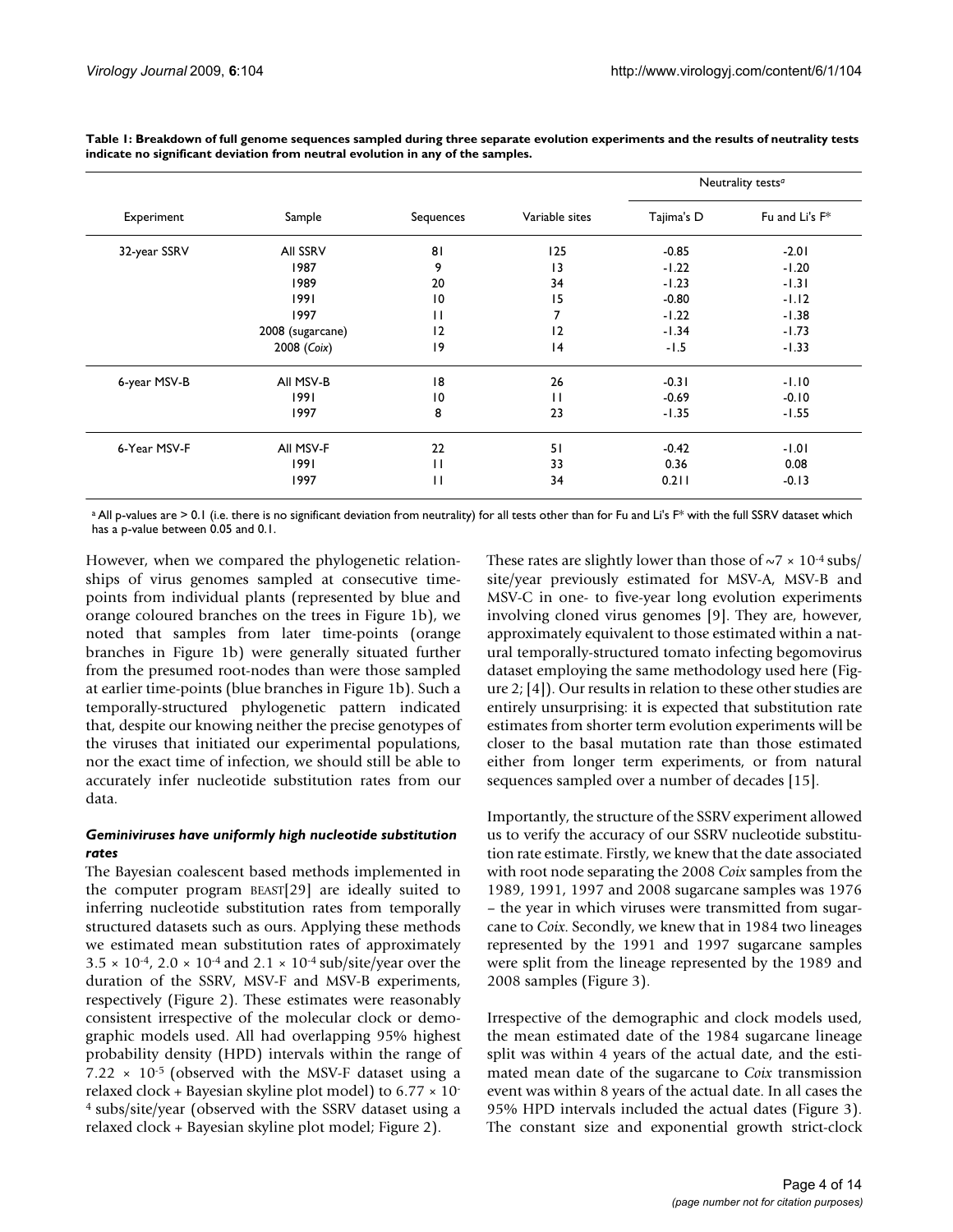|              | Sample           | Sequences       |                | Neutrality tests <sup>a</sup> |                            |
|--------------|------------------|-----------------|----------------|-------------------------------|----------------------------|
| Experiment   |                  |                 | Variable sites | Tajima's D                    | Fu and Li's F <sup>*</sup> |
| 32-year SSRV | <b>AII SSRV</b>  | 81              | 125            | $-0.85$                       | $-2.01$                    |
|              | 1987             | 9               | 13             | $-1.22$                       | $-1.20$                    |
|              | 1989             | 20              | 34             | $-1.23$                       | $-1.31$                    |
|              | 1991             | $\overline{10}$ | 15             | $-0.80$                       | $-1.12$                    |
|              | 1997             | $\mathbf{1}$    | 7              | $-1.22$                       | $-1.38$                    |
|              | 2008 (sugarcane) | 12              | 12             | $-1.34$                       | $-1.73$                    |
|              | 2008 (Coix)      | 9               | 4              | $-1.5$                        | $-1.33$                    |
| 6-year MSV-B | All MSV-B        | 18              | 26             | $-0.31$                       | $-1.10$                    |
|              | 1991             | 10              | $\mathbf{1}$   | $-0.69$                       | $-0.10$                    |
|              | 1997             | 8               | 23             | $-1.35$                       | $-1.55$                    |
| 6-Year MSV-F | All MSV-F        | 22              | 51             | $-0.42$                       | $-1.01$                    |
|              | 1991             | $\mathbf{1}$    | 33             | 0.36                          | 0.08                       |
|              | 1997             | $\mathbf{H}$    | 34             | 0.211                         | $-0.13$                    |

**Table 1: Breakdown of full genome sequences sampled during three separate evolution experiments and the results of neutrality tests indicate no significant deviation from neutral evolution in any of the samples.**

a All p-values are > 0.1 (i.e. there is no significant deviation from neutrality) for all tests other than for Fu and Li's F\* with the full SSRV dataset which has a p-value between 0.05 and 0.1.

However, when we compared the phylogenetic relationships of virus genomes sampled at consecutive timepoints from individual plants (represented by blue and orange coloured branches on the trees in Figure 1b), we noted that samples from later time-points (orange branches in Figure 1b) were generally situated further from the presumed root-nodes than were those sampled at earlier time-points (blue branches in Figure 1b). Such a temporally-structured phylogenetic pattern indicated that, despite our knowing neither the precise genotypes of the viruses that initiated our experimental populations, nor the exact time of infection, we should still be able to accurately infer nucleotide substitution rates from our data.

#### *Geminiviruses have uniformly high nucleotide substitution rates*

The Bayesian coalescent based methods implemented in the computer program BEAST[29] are ideally suited to inferring nucleotide substitution rates from temporally structured datasets such as ours. Applying these methods we estimated mean substitution rates of approximately  $3.5 \times 10^{-4}$ ,  $2.0 \times 10^{-4}$  and  $2.1 \times 10^{-4}$  sub/site/year over the duration of the SSRV, MSV-F and MSV-B experiments, respectively (Figure 2). These estimates were reasonably consistent irrespective of the molecular clock or demographic models used. All had overlapping 95% highest probability density (HPD) intervals within the range of  $7.22 \times 10^{-5}$  (observed with the MSV-F dataset using a relaxed clock + Bayesian skyline plot model) to  $6.77 \times 10^{-7}$ 4 subs/site/year (observed with the SSRV dataset using a relaxed clock + Bayesian skyline plot model; Figure 2).

These rates are slightly lower than those of  $\sim$  7  $\times$  10<sup>-4</sup> subs/ site/year previously estimated for MSV-A, MSV-B and MSV-C in one- to five-year long evolution experiments involving cloned virus genomes [9]. They are, however, approximately equivalent to those estimated within a natural temporally-structured tomato infecting begomovirus dataset employing the same methodology used here (Figure 2; [4]). Our results in relation to these other studies are entirely unsurprising: it is expected that substitution rate estimates from shorter term evolution experiments will be closer to the basal mutation rate than those estimated either from longer term experiments, or from natural sequences sampled over a number of decades [15].

Importantly, the structure of the SSRV experiment allowed us to verify the accuracy of our SSRV nucleotide substitution rate estimate. Firstly, we knew that the date associated with root node separating the 2008 *Coix* samples from the 1989, 1991, 1997 and 2008 sugarcane samples was 1976 – the year in which viruses were transmitted from sugarcane to *Coix*. Secondly, we knew that in 1984 two lineages represented by the 1991 and 1997 sugarcane samples were split from the lineage represented by the 1989 and 2008 samples (Figure 3).

Irrespective of the demographic and clock models used, the mean estimated date of the 1984 sugarcane lineage split was within 4 years of the actual date, and the estimated mean date of the sugarcane to *Coix* transmission event was within 8 years of the actual date. In all cases the 95% HPD intervals included the actual dates (Figure 3). The constant size and exponential growth strict-clock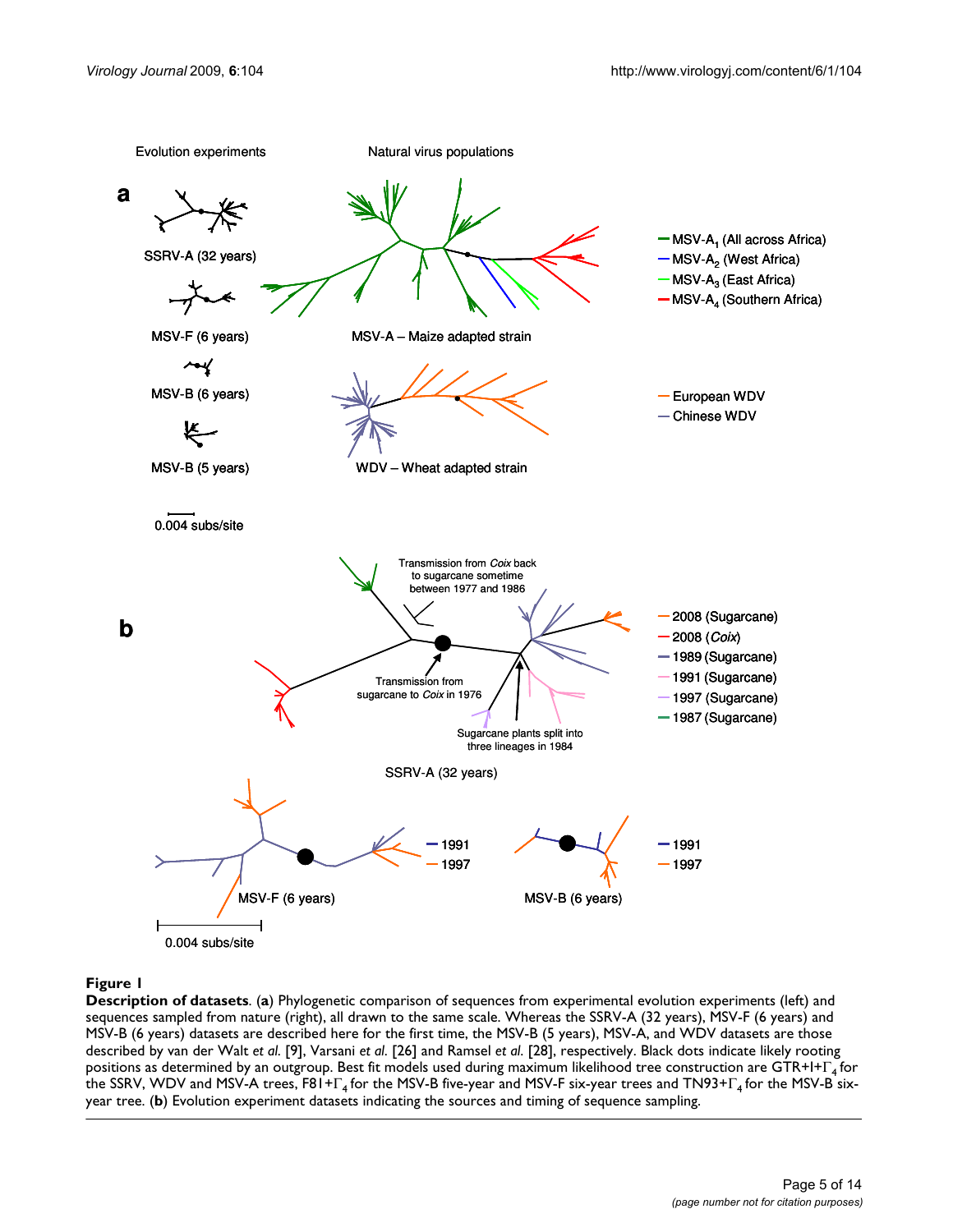

### **Figure 1**

**Description of datasets**. (**a**) Phylogenetic comparison of sequences from experimental evolution experiments (left) and sequences sampled from nature (right), all drawn to the same scale. Whereas the SSRV-A (32 years), MSV-F (6 years) and MSV-B (6 years) datasets are described here for the first time, the MSV-B (5 years), MSV-A, and WDV datasets are those described by van der Walt *et al*. [9], Varsani *et al*. [26] and Ramsel *et al*. [28], respectively. Black dots indicate likely rooting positions as determined by an outgroup. Best fit models used during maximum likelihood tree construction are GTR+I+ $\Gamma_4$  for the SSRV, WDV and MSV-A trees, F81+ $\Gamma_4$  for the MSV-B five-year and MSV-F six-year trees and TN93+ $\Gamma_4$  for the MSV-B sixyear tree. (**b**) Evolution experiment datasets indicating the sources and timing of sequence sampling.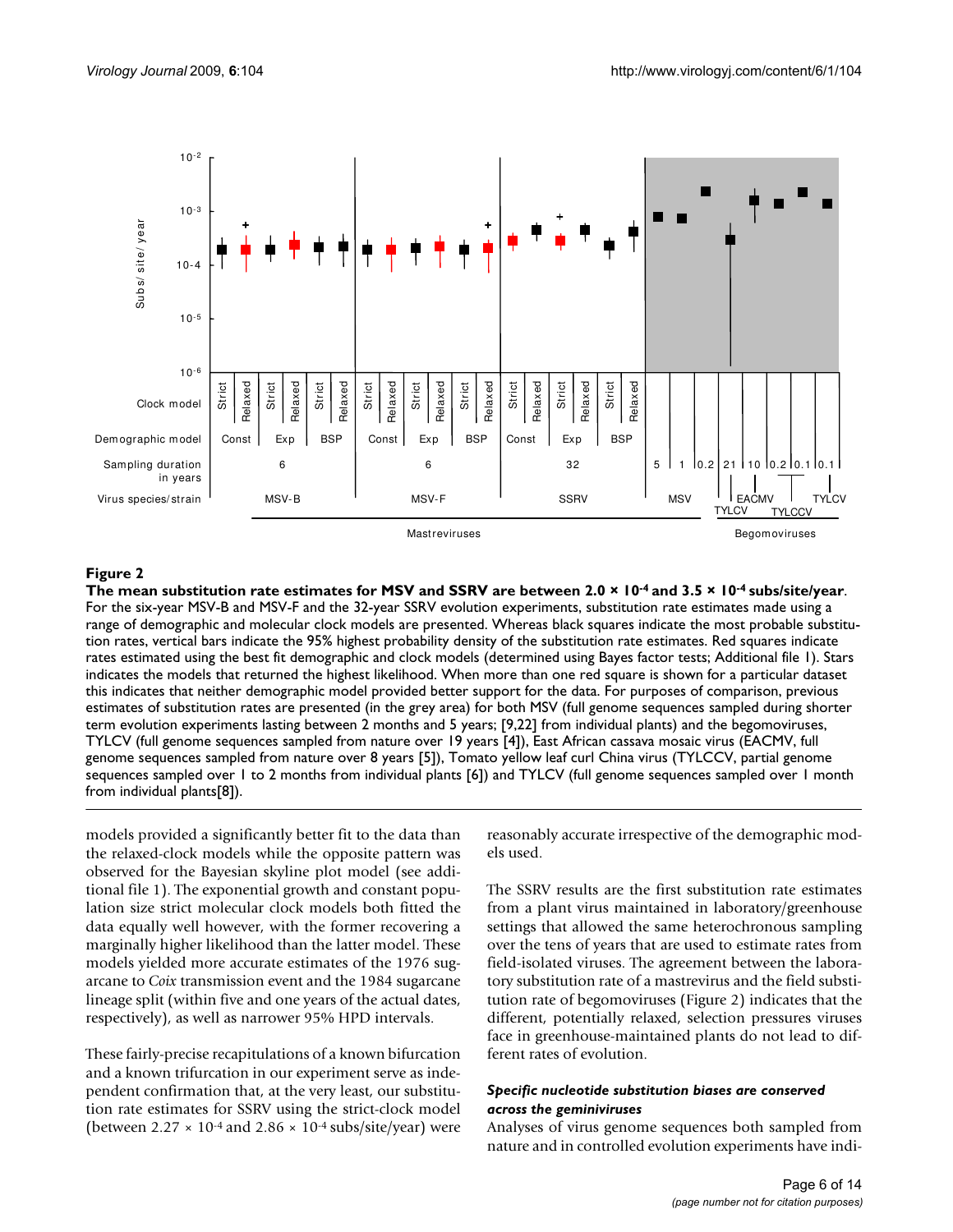

# The mean substitution rate estimates for MSV and SSRV are between 2.0 × 10-4 and 3.5 × 10-4 **Figure 2** subs/site/year

**The mean substitution rate estimates for MSV and SSRV are between 2.0 × 10-4 and 3.5 × 10-4 subs/site/year**. For the six-year MSV-B and MSV-F and the 32-year SSRV evolution experiments, substitution rate estimates made using a range of demographic and molecular clock models are presented. Whereas black squares indicate the most probable substitution rates, vertical bars indicate the 95% highest probability density of the substitution rate estimates. Red squares indicate rates estimated using the best fit demographic and clock models (determined using Bayes factor tests; Additional file 1). Stars indicates the models that returned the highest likelihood. When more than one red square is shown for a particular dataset this indicates that neither demographic model provided better support for the data. For purposes of comparison, previous estimates of substitution rates are presented (in the grey area) for both MSV (full genome sequences sampled during shorter term evolution experiments lasting between 2 months and 5 years; [9,22] from individual plants) and the begomoviruses, TYLCV (full genome sequences sampled from nature over 19 years [4]), East African cassava mosaic virus (EACMV, full genome sequences sampled from nature over 8 years [5]), Tomato yellow leaf curl China virus (TYLCCV, partial genome sequences sampled over 1 to 2 months from individual plants [6]) and TYLCV (full genome sequences sampled over 1 month from individual plants[8]).

models provided a significantly better fit to the data than the relaxed-clock models while the opposite pattern was observed for the Bayesian skyline plot model (see additional file 1). The exponential growth and constant population size strict molecular clock models both fitted the data equally well however, with the former recovering a marginally higher likelihood than the latter model. These models yielded more accurate estimates of the 1976 sugarcane to *Coix* transmission event and the 1984 sugarcane lineage split (within five and one years of the actual dates, respectively), as well as narrower 95% HPD intervals.

These fairly-precise recapitulations of a known bifurcation and a known trifurcation in our experiment serve as independent confirmation that, at the very least, our substitution rate estimates for SSRV using the strict-clock model (between  $2.27 \times 10^{-4}$  and  $2.86 \times 10^{-4}$  subs/site/year) were

reasonably accurate irrespective of the demographic models used.

The SSRV results are the first substitution rate estimates from a plant virus maintained in laboratory/greenhouse settings that allowed the same heterochronous sampling over the tens of years that are used to estimate rates from field-isolated viruses. The agreement between the laboratory substitution rate of a mastrevirus and the field substitution rate of begomoviruses (Figure 2) indicates that the different, potentially relaxed, selection pressures viruses face in greenhouse-maintained plants do not lead to different rates of evolution.

### *Specific nucleotide substitution biases are conserved across the geminiviruses*

Analyses of virus genome sequences both sampled from nature and in controlled evolution experiments have indi-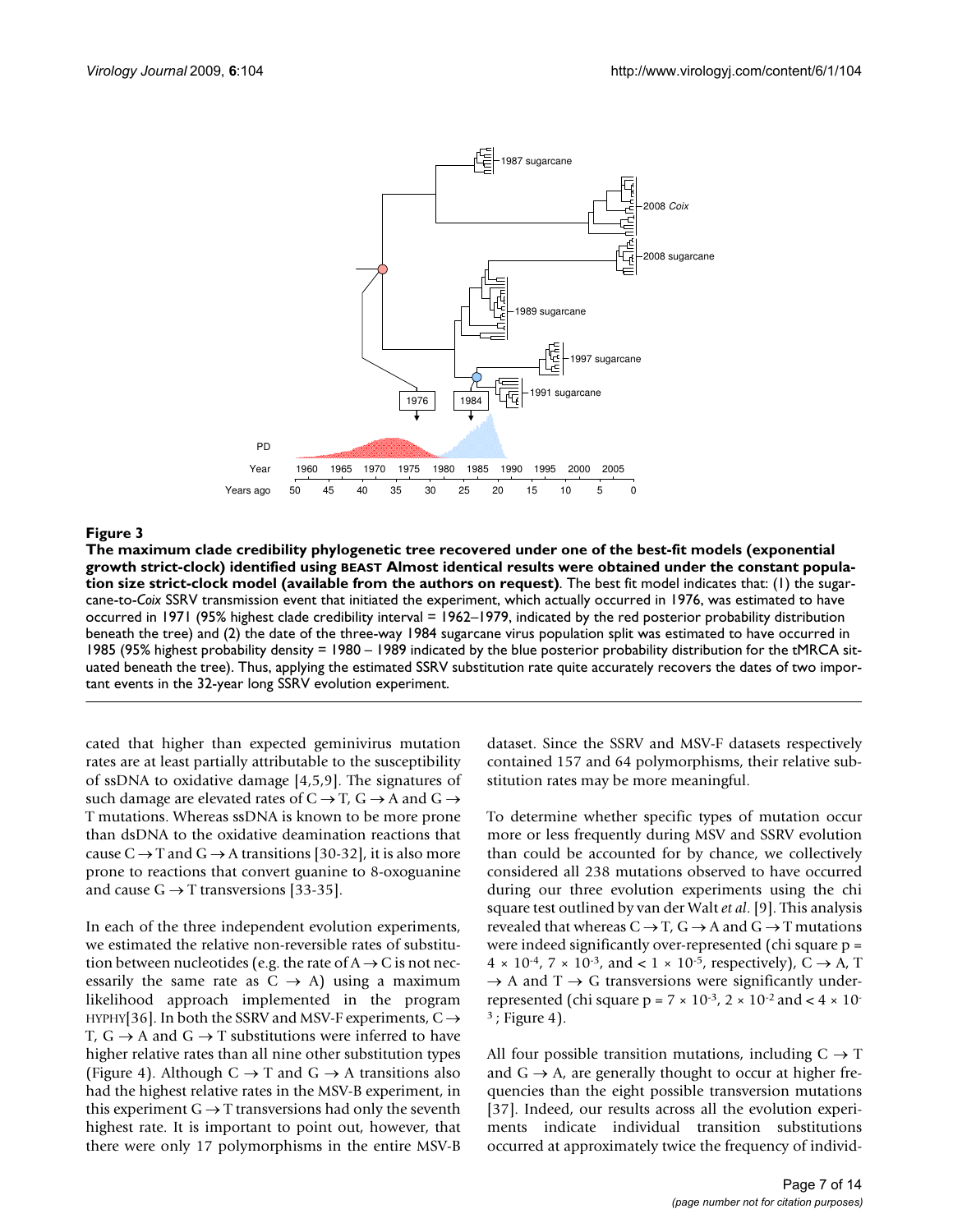

#### **Figure 3** Production of the contract of the contract of the contract of the contract of the contract of the contract of the contract of the contract of the contract of the contract of the contract of the contract of the c

**The maximum clade credibility phylogenetic tree recovered under one of the best-fit models (exponential growth strict-clock) identified using BEAST Almost identical results were obtained under the constant population size strict-clock model (available from the authors on request)**. The best fit model indicates that: (1) the sugarcane-to-*Coix* SSRV transmission event that initiated the experiment, which actually occurred in 1976, was estimated to have occurred in 1971 (95% highest clade credibility interval = 1962–1979, indicated by the red posterior probability distribution beneath the tree) and (2) the date of the three-way 1984 sugarcane virus population split was estimated to have occurred in 1985 (95% highest probability density = 1980 – 1989 indicated by the blue posterior probability distribution for the tMRCA situated beneath the tree). Thus, applying the estimated SSRV substitution rate quite accurately recovers the dates of two important events in the 32-year long SSRV evolution experiment.

cated that higher than expected geminivirus mutation rates are at least partially attributable to the susceptibility of ssDNA to oxidative damage [4,5,9]. The signatures of such damage are elevated rates of  $C \rightarrow T$ ,  $G \rightarrow A$  and  $G \rightarrow$ T mutations. Whereas ssDNA is known to be more prone than dsDNA to the oxidative deamination reactions that cause  $C \rightarrow T$  and  $G \rightarrow A$  transitions [30-32], it is also more prone to reactions that convert guanine to 8-oxoguanine and cause  $G \rightarrow T$  transversions [33-35].

In each of the three independent evolution experiments, we estimated the relative non-reversible rates of substitution between nucleotides (e.g. the rate of  $A \rightarrow C$  is not necessarily the same rate as  $C \rightarrow A$ ) using a maximum likelihood approach implemented in the program HYPHY[36]. In both the SSRV and MSV-F experiments,  $C \rightarrow$ T,  $G \rightarrow A$  and  $G \rightarrow T$  substitutions were inferred to have higher relative rates than all nine other substitution types (Figure 4). Although  $C \rightarrow T$  and  $G \rightarrow A$  transitions also had the highest relative rates in the MSV-B experiment, in this experiment  $G \rightarrow T$  transversions had only the seventh highest rate. It is important to point out, however, that there were only 17 polymorphisms in the entire MSV-B dataset. Since the SSRV and MSV-F datasets respectively contained 157 and 64 polymorphisms, their relative substitution rates may be more meaningful.

To determine whether specific types of mutation occur more or less frequently during MSV and SSRV evolution than could be accounted for by chance, we collectively considered all 238 mutations observed to have occurred during our three evolution experiments using the chi square test outlined by van der Walt *et al*. [9]. This analysis revealed that whereas  $C \rightarrow T$ ,  $G \rightarrow A$  and  $G \rightarrow T$  mutations were indeed significantly over-represented (chi square p =  $4 \times 10^{-4}$ ,  $7 \times 10^{-3}$ , and  $< 1 \times 10^{-5}$ , respectively),  $C \rightarrow A$ , T  $\rightarrow$  A and T  $\rightarrow$  G transversions were significantly underrepresented (chi square  $p = 7 \times 10^{-3}$ ,  $2 \times 10^{-2}$  and  $< 4 \times 10^{-7}$  $3$ ; Figure 4).

All four possible transition mutations, including  $C \rightarrow T$ and  $G \rightarrow A$ , are generally thought to occur at higher frequencies than the eight possible transversion mutations [37]. Indeed, our results across all the evolution experiments indicate individual transition substitutions occurred at approximately twice the frequency of individ-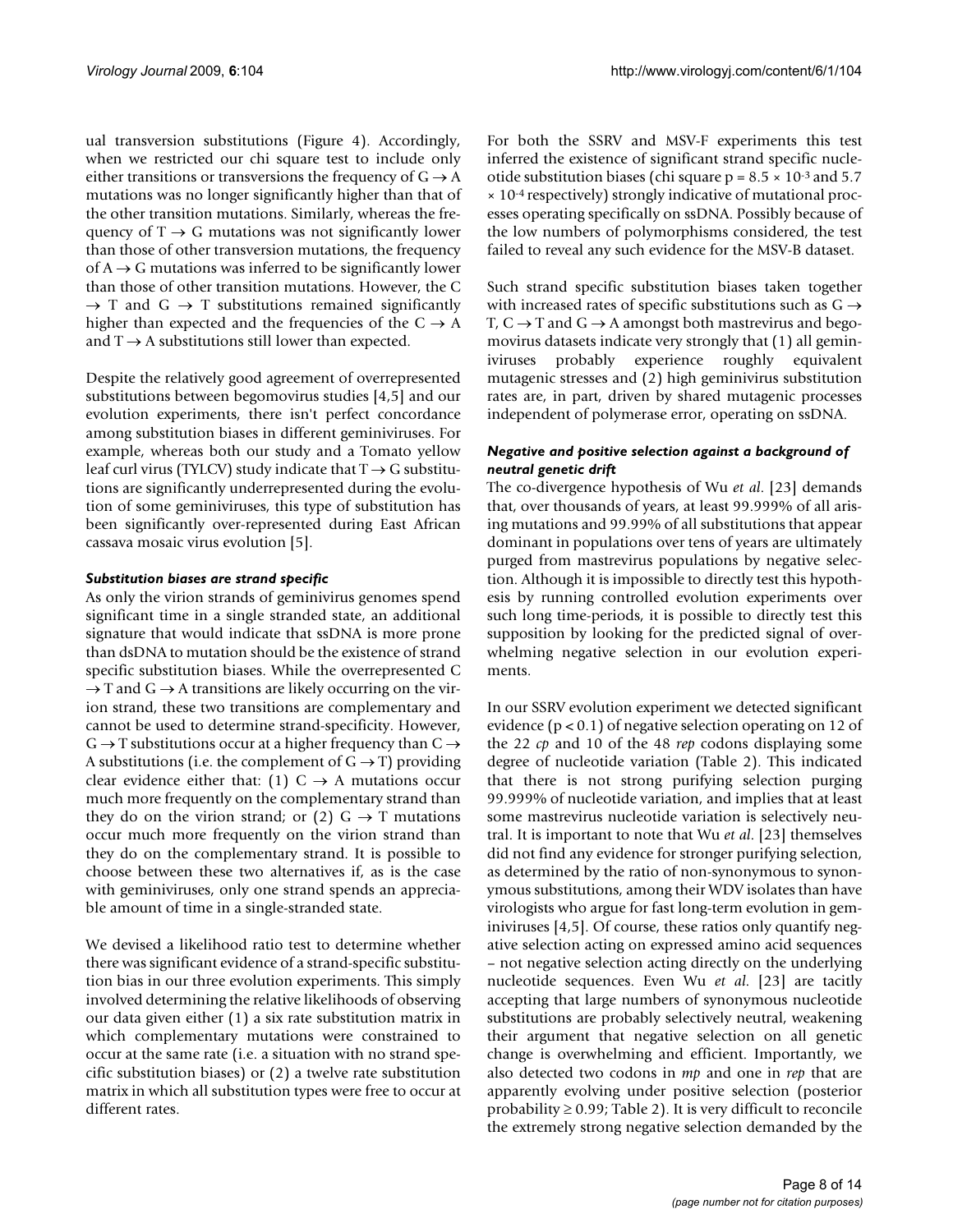ual transversion substitutions (Figure 4). Accordingly, when we restricted our chi square test to include only either transitions or transversions the frequency of  $G \rightarrow A$ mutations was no longer significantly higher than that of the other transition mutations. Similarly, whereas the frequency of  $T \rightarrow G$  mutations was not significantly lower than those of other transversion mutations, the frequency of  $A \rightarrow G$  mutations was inferred to be significantly lower than those of other transition mutations. However, the C  $\rightarrow$  T and G  $\rightarrow$  T substitutions remained significantly higher than expected and the frequencies of the  $C \rightarrow A$ and  $T \rightarrow A$  substitutions still lower than expected.

Despite the relatively good agreement of overrepresented substitutions between begomovirus studies [4,5] and our evolution experiments, there isn't perfect concordance among substitution biases in different geminiviruses. For example, whereas both our study and a Tomato yellow leaf curl virus (TYLCV) study indicate that  $T \rightarrow G$  substitutions are significantly underrepresented during the evolution of some geminiviruses, this type of substitution has been significantly over-represented during East African cassava mosaic virus evolution [5].

### *Substitution biases are strand specific*

As only the virion strands of geminivirus genomes spend significant time in a single stranded state, an additional signature that would indicate that ssDNA is more prone than dsDNA to mutation should be the existence of strand specific substitution biases. While the overrepresented C  $\rightarrow$  T and G  $\rightarrow$  A transitions are likely occurring on the virion strand, these two transitions are complementary and cannot be used to determine strand-specificity. However,  $G \rightarrow T$  substitutions occur at a higher frequency than  $C \rightarrow$ A substitutions (i.e. the complement of  $G \rightarrow T$ ) providing clear evidence either that: (1)  $C \rightarrow A$  mutations occur much more frequently on the complementary strand than they do on the virion strand; or (2)  $G \rightarrow T$  mutations occur much more frequently on the virion strand than they do on the complementary strand. It is possible to choose between these two alternatives if, as is the case with geminiviruses, only one strand spends an appreciable amount of time in a single-stranded state.

We devised a likelihood ratio test to determine whether there was significant evidence of a strand-specific substitution bias in our three evolution experiments. This simply involved determining the relative likelihoods of observing our data given either (1) a six rate substitution matrix in which complementary mutations were constrained to occur at the same rate (i.e. a situation with no strand specific substitution biases) or (2) a twelve rate substitution matrix in which all substitution types were free to occur at different rates.

For both the SSRV and MSV-F experiments this test inferred the existence of significant strand specific nucleotide substitution biases (chi square  $p = 8.5 \times 10^{-3}$  and 5.7 × 10-4 respectively) strongly indicative of mutational processes operating specifically on ssDNA. Possibly because of the low numbers of polymorphisms considered, the test failed to reveal any such evidence for the MSV-B dataset.

Such strand specific substitution biases taken together with increased rates of specific substitutions such as  $G \rightarrow$  $T, C \rightarrow T$  and  $G \rightarrow A$  amongst both mastrevirus and begomovirus datasets indicate very strongly that (1) all geminiviruses probably experience roughly equivalent mutagenic stresses and (2) high geminivirus substitution rates are, in part, driven by shared mutagenic processes independent of polymerase error, operating on ssDNA.

## *Negative and positive selection against a background of neutral genetic drift*

The co-divergence hypothesis of Wu *et al*. [23] demands that, over thousands of years, at least 99.999% of all arising mutations and 99.99% of all substitutions that appear dominant in populations over tens of years are ultimately purged from mastrevirus populations by negative selection. Although it is impossible to directly test this hypothesis by running controlled evolution experiments over such long time-periods, it is possible to directly test this supposition by looking for the predicted signal of overwhelming negative selection in our evolution experiments.

In our SSRV evolution experiment we detected significant evidence  $(p < 0.1)$  of negative selection operating on 12 of the 22 *cp* and 10 of the 48 *rep* codons displaying some degree of nucleotide variation (Table 2). This indicated that there is not strong purifying selection purging 99.999% of nucleotide variation, and implies that at least some mastrevirus nucleotide variation is selectively neutral. It is important to note that Wu *et al*. [23] themselves did not find any evidence for stronger purifying selection, as determined by the ratio of non-synonymous to synonymous substitutions, among their WDV isolates than have virologists who argue for fast long-term evolution in geminiviruses [4,5]. Of course, these ratios only quantify negative selection acting on expressed amino acid sequences – not negative selection acting directly on the underlying nucleotide sequences. Even Wu *et al*. [23] are tacitly accepting that large numbers of synonymous nucleotide substitutions are probably selectively neutral, weakening their argument that negative selection on all genetic change is overwhelming and efficient. Importantly, we also detected two codons in *mp* and one in *rep* that are apparently evolving under positive selection (posterior probability  $\geq 0.99$ ; Table 2). It is very difficult to reconcile the extremely strong negative selection demanded by the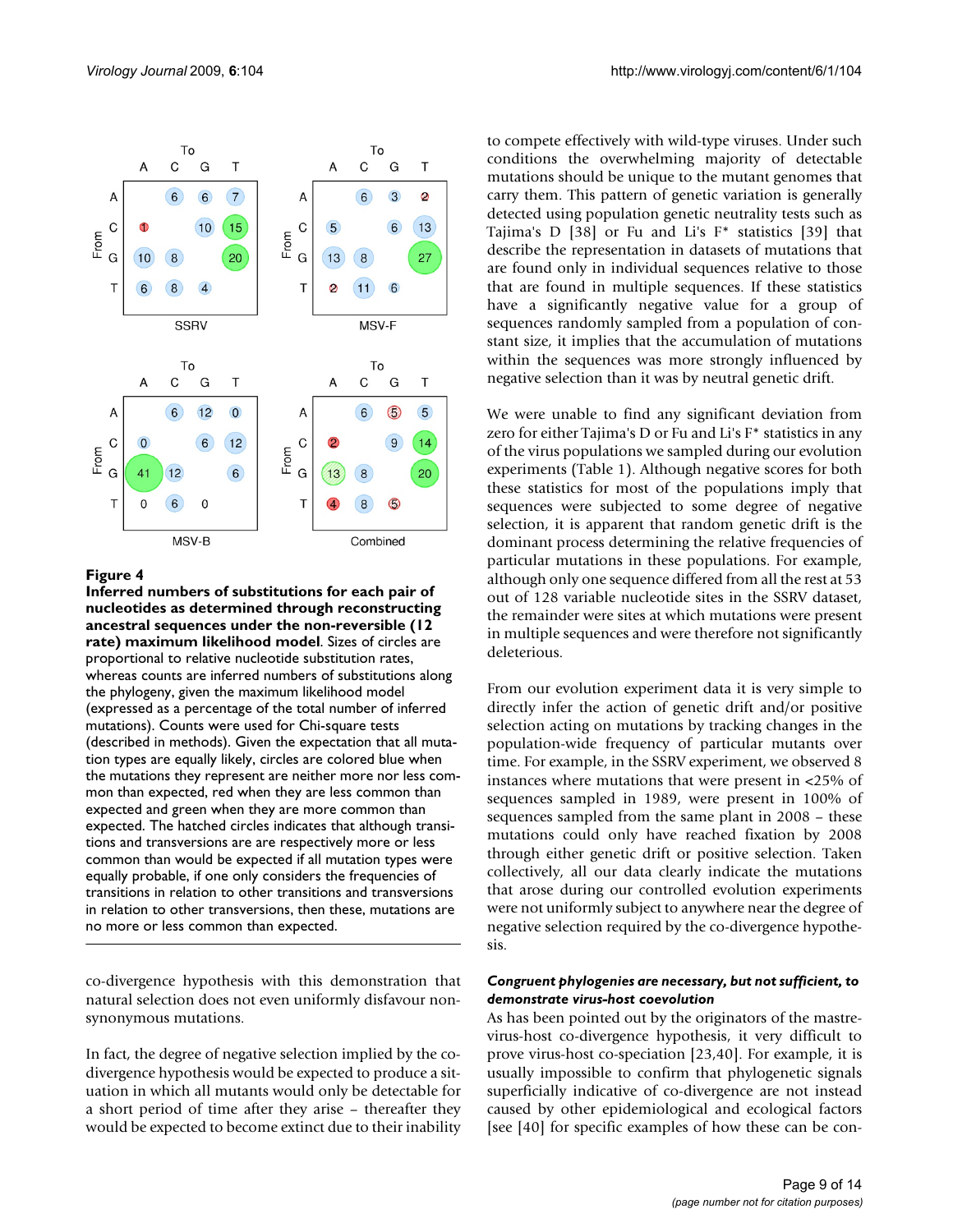

#### Figure 4

**Inferred numbers of substitutions for each pair of nucleotides as determined through reconstructing ancestral sequences under the non-reversible (12 rate) maximum likelihood model**. Sizes of circles are proportional to relative nucleotide substitution rates, whereas counts are inferred numbers of substitutions along the phylogeny, given the maximum likelihood model (expressed as a percentage of the total number of inferred mutations). Counts were used for Chi-square tests (described in methods). Given the expectation that all mutation types are equally likely, circles are colored blue when the mutations they represent are neither more nor less common than expected, red when they are less common than expected and green when they are more common than expected. The hatched circles indicates that although transitions and transversions are are respectively more or less common than would be expected if all mutation types were equally probable, if one only considers the frequencies of transitions in relation to other transitions and transversions in relation to other transversions, then these, mutations are no more or less common than expected.

co-divergence hypothesis with this demonstration that natural selection does not even uniformly disfavour nonsynonymous mutations.

In fact, the degree of negative selection implied by the codivergence hypothesis would be expected to produce a situation in which all mutants would only be detectable for a short period of time after they arise – thereafter they would be expected to become extinct due to their inability to compete effectively with wild-type viruses. Under such conditions the overwhelming majority of detectable mutations should be unique to the mutant genomes that carry them. This pattern of genetic variation is generally detected using population genetic neutrality tests such as Tajima's D [38] or Fu and Li's F\* statistics [39] that describe the representation in datasets of mutations that are found only in individual sequences relative to those that are found in multiple sequences. If these statistics have a significantly negative value for a group of sequences randomly sampled from a population of constant size, it implies that the accumulation of mutations within the sequences was more strongly influenced by negative selection than it was by neutral genetic drift.

We were unable to find any significant deviation from zero for either Tajima's D or Fu and Li's F\* statistics in any of the virus populations we sampled during our evolution experiments (Table 1). Although negative scores for both these statistics for most of the populations imply that sequences were subjected to some degree of negative selection, it is apparent that random genetic drift is the dominant process determining the relative frequencies of particular mutations in these populations. For example, although only one sequence differed from all the rest at 53 out of 128 variable nucleotide sites in the SSRV dataset, the remainder were sites at which mutations were present in multiple sequences and were therefore not significantly deleterious.

From our evolution experiment data it is very simple to directly infer the action of genetic drift and/or positive selection acting on mutations by tracking changes in the population-wide frequency of particular mutants over time. For example, in the SSRV experiment, we observed 8 instances where mutations that were present in <25% of sequences sampled in 1989, were present in 100% of sequences sampled from the same plant in 2008 – these mutations could only have reached fixation by 2008 through either genetic drift or positive selection. Taken collectively, all our data clearly indicate the mutations that arose during our controlled evolution experiments were not uniformly subject to anywhere near the degree of negative selection required by the co-divergence hypothesis.

#### *Congruent phylogenies are necessary, but not sufficient, to demonstrate virus-host coevolution*

As has been pointed out by the originators of the mastrevirus-host co-divergence hypothesis, it very difficult to prove virus-host co-speciation [23,40]. For example, it is usually impossible to confirm that phylogenetic signals superficially indicative of co-divergence are not instead caused by other epidemiological and ecological factors [see [40] for specific examples of how these can be con-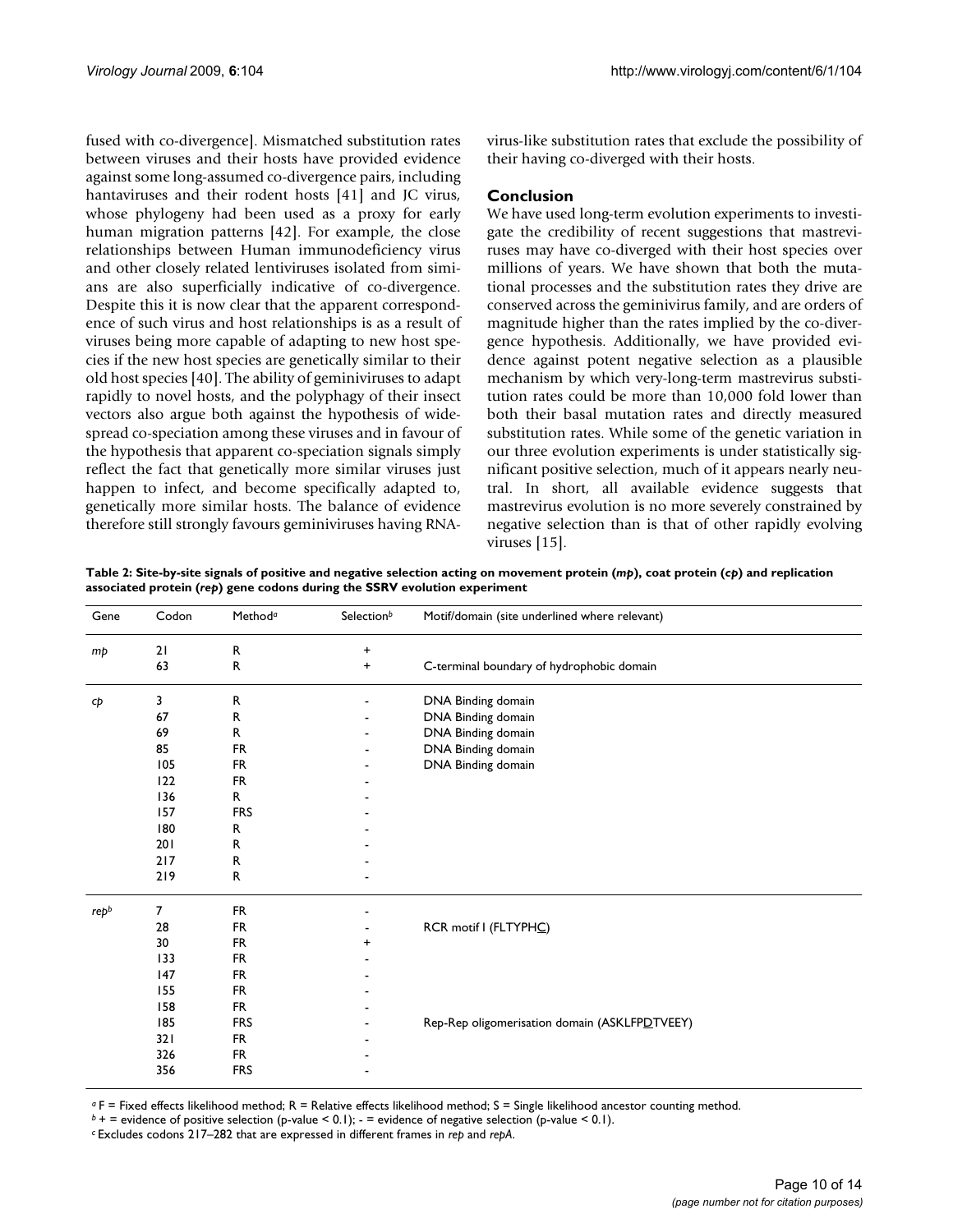fused with co-divergence]. Mismatched substitution rates between viruses and their hosts have provided evidence against some long-assumed co-divergence pairs, including hantaviruses and their rodent hosts [41] and JC virus, whose phylogeny had been used as a proxy for early human migration patterns [42]. For example, the close relationships between Human immunodeficiency virus and other closely related lentiviruses isolated from simians are also superficially indicative of co-divergence. Despite this it is now clear that the apparent correspondence of such virus and host relationships is as a result of viruses being more capable of adapting to new host species if the new host species are genetically similar to their old host species [40]. The ability of geminiviruses to adapt rapidly to novel hosts, and the polyphagy of their insect vectors also argue both against the hypothesis of widespread co-speciation among these viruses and in favour of the hypothesis that apparent co-speciation signals simply reflect the fact that genetically more similar viruses just happen to infect, and become specifically adapted to, genetically more similar hosts. The balance of evidence therefore still strongly favours geminiviruses having RNA- virus-like substitution rates that exclude the possibility of their having co-diverged with their hosts.

# **Conclusion**

We have used long-term evolution experiments to investigate the credibility of recent suggestions that mastreviruses may have co-diverged with their host species over millions of years. We have shown that both the mutational processes and the substitution rates they drive are conserved across the geminivirus family, and are orders of magnitude higher than the rates implied by the co-divergence hypothesis. Additionally, we have provided evidence against potent negative selection as a plausible mechanism by which very-long-term mastrevirus substitution rates could be more than 10,000 fold lower than both their basal mutation rates and directly measured substitution rates. While some of the genetic variation in our three evolution experiments is under statistically significant positive selection, much of it appears nearly neutral. In short, all available evidence suggests that mastrevirus evolution is no more severely constrained by negative selection than is that of other rapidly evolving viruses [15].

**Table 2: Site-by-site signals of positive and negative selection acting on movement protein (***mp***), coat protein (***cp***) and replication associated protein (***rep***) gene codons during the SSRV evolution experiment**

| Gene             | Codon | Method <sup>a</sup> | Selection <sup>b</sup> | Motif/domain (site underlined where relevant) |
|------------------|-------|---------------------|------------------------|-----------------------------------------------|
| mp               | 21    | R                   | +                      |                                               |
|                  | 63    | $\mathsf{R}$        | $\ddot{}$              | C-terminal boundary of hydrophobic domain     |
| сþ               | 3     | $\mathsf{R}$        |                        | DNA Binding domain                            |
|                  | 67    | $\mathsf{R}$        |                        | DNA Binding domain                            |
|                  | 69    | R                   |                        | DNA Binding domain                            |
|                  | 85    | <b>FR</b>           |                        | DNA Binding domain                            |
|                  | 105   | <b>FR</b>           |                        | DNA Binding domain                            |
|                  | 122   | <b>FR</b>           |                        |                                               |
|                  | 136   | R                   |                        |                                               |
|                  | 157   | <b>FRS</b>          |                        |                                               |
|                  | 180   | R                   |                        |                                               |
|                  | 201   | R                   |                        |                                               |
|                  | 217   | $\mathsf{R}$        |                        |                                               |
|                  | 219   | R                   |                        |                                               |
| rep <sup>b</sup> | 7     | <b>FR</b>           |                        |                                               |
|                  | 28    | <b>FR</b>           |                        | RCR motif I (FLTYPHC)                         |
|                  | 30    | <b>FR</b>           | +                      |                                               |
|                  | 133   | <b>FR</b>           |                        |                                               |
|                  | 147   | <b>FR</b>           |                        |                                               |
|                  | 155   | <b>FR</b>           |                        |                                               |
|                  | 158   | <b>FR</b>           |                        |                                               |
|                  | 185   | <b>FRS</b>          |                        | Rep-Rep oligomerisation domain (ASKLFPDTVEEY) |
|                  | 321   | <b>FR</b>           |                        |                                               |
|                  | 326   | <b>FR</b>           |                        |                                               |
|                  | 356   | <b>FRS</b>          |                        |                                               |

*<sup>a</sup>*F = Fixed effects likelihood method; R = Relative effects likelihood method; S = Single likelihood ancestor counting method.

 $b$  + = evidence of positive selection (p-value < 0.1); - = evidence of negative selection (p-value < 0.1).

*c* Excludes codons 217–282 that are expressed in different frames in *rep* and *repA*.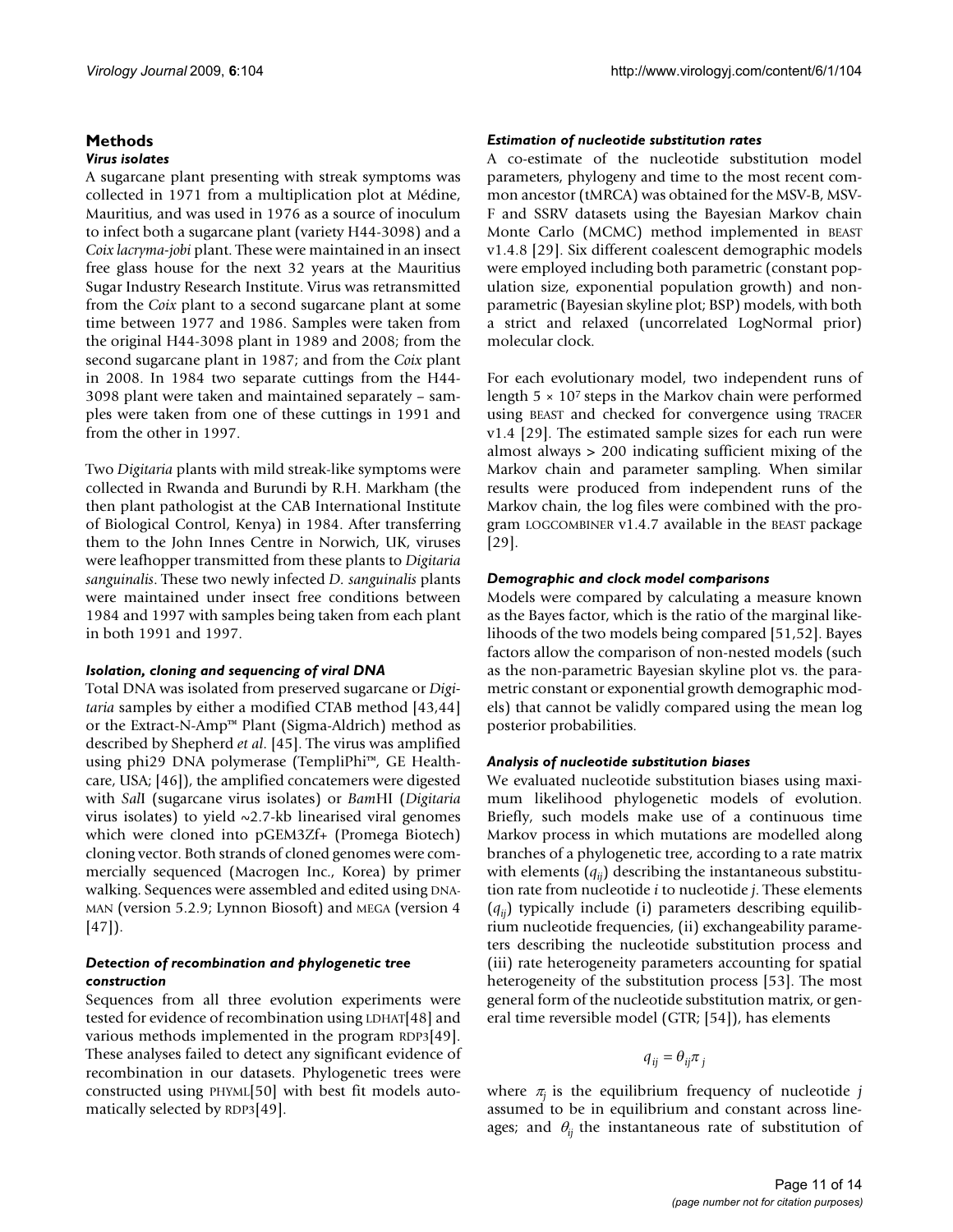### **Methods**

#### *Virus isolates*

A sugarcane plant presenting with streak symptoms was collected in 1971 from a multiplication plot at Médine, Mauritius, and was used in 1976 as a source of inoculum to infect both a sugarcane plant (variety H44-3098) and a *Coix lacryma-jobi* plant. These were maintained in an insect free glass house for the next 32 years at the Mauritius Sugar Industry Research Institute. Virus was retransmitted from the *Coix* plant to a second sugarcane plant at some time between 1977 and 1986. Samples were taken from the original H44-3098 plant in 1989 and 2008; from the second sugarcane plant in 1987; and from the *Coix* plant in 2008. In 1984 two separate cuttings from the H44- 3098 plant were taken and maintained separately – samples were taken from one of these cuttings in 1991 and from the other in 1997.

Two *Digitaria* plants with mild streak-like symptoms were collected in Rwanda and Burundi by R.H. Markham (the then plant pathologist at the CAB International Institute of Biological Control, Kenya) in 1984. After transferring them to the John Innes Centre in Norwich, UK, viruses were leafhopper transmitted from these plants to *Digitaria sanguinalis*. These two newly infected *D. sanguinalis* plants were maintained under insect free conditions between 1984 and 1997 with samples being taken from each plant in both 1991 and 1997.

#### *Isolation, cloning and sequencing of viral DNA*

Total DNA was isolated from preserved sugarcane or *Digitaria* samples by either a modified CTAB method [43,44] or the Extract-N-Amp™ Plant (Sigma-Aldrich) method as described by Shepherd *et al*. [45]. The virus was amplified using phi29 DNA polymerase (TempliPhi™, GE Healthcare, USA; [46]), the amplified concatemers were digested with *Sal*I (sugarcane virus isolates) or *Bam*HI (*Digitaria* virus isolates) to yield ~2.7-kb linearised viral genomes which were cloned into pGEM3Zf+ (Promega Biotech) cloning vector. Both strands of cloned genomes were commercially sequenced (Macrogen Inc., Korea) by primer walking. Sequences were assembled and edited using DNA-MAN (version 5.2.9; Lynnon Biosoft) and MEGA (version 4 [47]).

#### *Detection of recombination and phylogenetic tree construction*

Sequences from all three evolution experiments were tested for evidence of recombination using LDHAT[48] and various methods implemented in the program RDP3[49]. These analyses failed to detect any significant evidence of recombination in our datasets. Phylogenetic trees were constructed using PHYML[50] with best fit models automatically selected by RDP3[49].

#### *Estimation of nucleotide substitution rates*

A co-estimate of the nucleotide substitution model parameters, phylogeny and time to the most recent common ancestor (tMRCA) was obtained for the MSV-B, MSV-F and SSRV datasets using the Bayesian Markov chain Monte Carlo (MCMC) method implemented in BEAST v1.4.8 [29]. Six different coalescent demographic models were employed including both parametric (constant population size, exponential population growth) and nonparametric (Bayesian skyline plot; BSP) models, with both a strict and relaxed (uncorrelated LogNormal prior) molecular clock.

For each evolutionary model, two independent runs of length  $5 \times 10^7$  steps in the Markov chain were performed using BEAST and checked for convergence using TRACER v1.4 [29]. The estimated sample sizes for each run were almost always > 200 indicating sufficient mixing of the Markov chain and parameter sampling. When similar results were produced from independent runs of the Markov chain, the log files were combined with the program LOGCOMBINER v1.4.7 available in the BEAST package [29].

#### *Demographic and clock model comparisons*

Models were compared by calculating a measure known as the Bayes factor, which is the ratio of the marginal likelihoods of the two models being compared [51,52]. Bayes factors allow the comparison of non-nested models (such as the non-parametric Bayesian skyline plot vs. the parametric constant or exponential growth demographic models) that cannot be validly compared using the mean log posterior probabilities.

#### *Analysis of nucleotide substitution biases*

We evaluated nucleotide substitution biases using maximum likelihood phylogenetic models of evolution. Briefly, such models make use of a continuous time Markov process in which mutations are modelled along branches of a phylogenetic tree, according to a rate matrix with elements  $(q_{ii})$  describing the instantaneous substitution rate from nucleotide *i* to nucleotide *j*. These elements (*qij*) typically include (i) parameters describing equilibrium nucleotide frequencies, (ii) exchangeability parameters describing the nucleotide substitution process and (iii) rate heterogeneity parameters accounting for spatial heterogeneity of the substitution process [53]. The most general form of the nucleotide substitution matrix, or general time reversible model (GTR; [54]), has elements

$$
q_{ij} = \theta_{ij}\pi_j
$$

where  $\pi$ <sub>i</sub> is the equilibrium frequency of nucleotide *j* assumed to be in equilibrium and constant across lineages; and  $\theta_{ij}$  the instantaneous rate of substitution of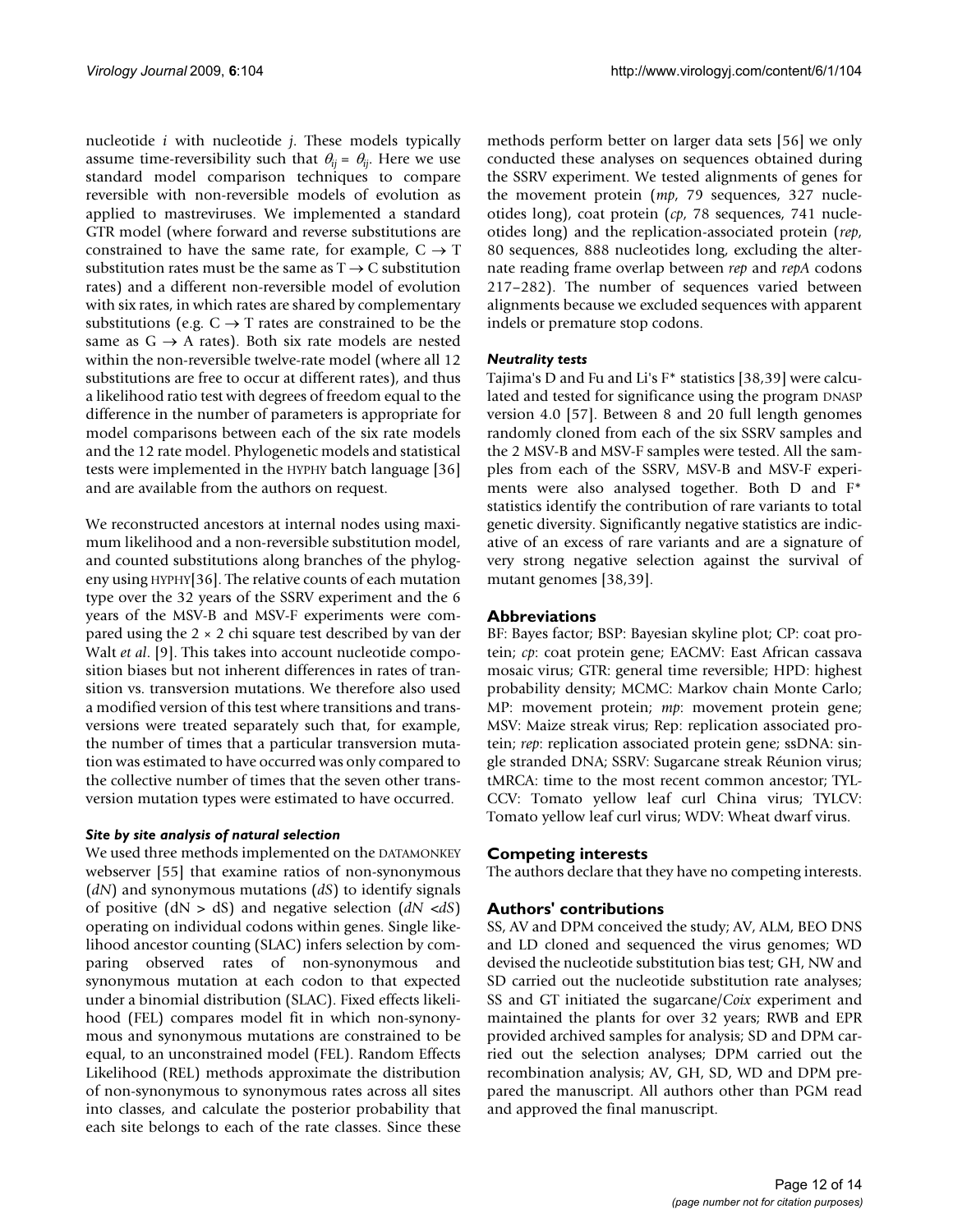nucleotide *i* with nucleotide *j*. These models typically assume time-reversibility such that  $\theta_{ij} = \theta_{ij}$ . Here we use standard model comparison techniques to compare reversible with non-reversible models of evolution as applied to mastreviruses. We implemented a standard GTR model (where forward and reverse substitutions are constrained to have the same rate, for example,  $C \rightarrow T$ substitution rates must be the same as  $T \rightarrow C$  substitution rates) and a different non-reversible model of evolution with six rates, in which rates are shared by complementary substitutions (e.g.  $C \rightarrow T$  rates are constrained to be the same as  $G \rightarrow A$  rates). Both six rate models are nested within the non-reversible twelve-rate model (where all 12 substitutions are free to occur at different rates), and thus a likelihood ratio test with degrees of freedom equal to the difference in the number of parameters is appropriate for model comparisons between each of the six rate models and the 12 rate model. Phylogenetic models and statistical tests were implemented in the HYPHY batch language [36] and are available from the authors on request.

We reconstructed ancestors at internal nodes using maximum likelihood and a non-reversible substitution model, and counted substitutions along branches of the phylogeny using HYPHY[36]. The relative counts of each mutation type over the 32 years of the SSRV experiment and the 6 years of the MSV-B and MSV-F experiments were compared using the  $2 \times 2$  chi square test described by van der Walt *et al*. [9]. This takes into account nucleotide composition biases but not inherent differences in rates of transition vs. transversion mutations. We therefore also used a modified version of this test where transitions and transversions were treated separately such that, for example, the number of times that a particular transversion mutation was estimated to have occurred was only compared to the collective number of times that the seven other transversion mutation types were estimated to have occurred.

#### *Site by site analysis of natural selection*

We used three methods implemented on the DATAMONKEY webserver [55] that examine ratios of non-synonymous (*dN*) and synonymous mutations (*dS*) to identify signals of positive (dN > dS) and negative selection (*dN* <*dS*) operating on individual codons within genes. Single likelihood ancestor counting (SLAC) infers selection by comparing observed rates of non-synonymous and synonymous mutation at each codon to that expected under a binomial distribution (SLAC). Fixed effects likelihood (FEL) compares model fit in which non-synonymous and synonymous mutations are constrained to be equal, to an unconstrained model (FEL). Random Effects Likelihood (REL) methods approximate the distribution of non-synonymous to synonymous rates across all sites into classes, and calculate the posterior probability that each site belongs to each of the rate classes. Since these

methods perform better on larger data sets [56] we only conducted these analyses on sequences obtained during the SSRV experiment. We tested alignments of genes for the movement protein (*mp*, 79 sequences, 327 nucleotides long), coat protein (*cp*, 78 sequences, 741 nucleotides long) and the replication-associated protein (*rep*, 80 sequences, 888 nucleotides long, excluding the alternate reading frame overlap between *rep* and *repA* codons 217–282). The number of sequences varied between alignments because we excluded sequences with apparent indels or premature stop codons.

#### *Neutrality tests*

Tajima's D and Fu and Li's F\* statistics [38,39] were calculated and tested for significance using the program DNASP version 4.0 [57]. Between 8 and 20 full length genomes randomly cloned from each of the six SSRV samples and the 2 MSV-B and MSV-F samples were tested. All the samples from each of the SSRV, MSV-B and MSV-F experiments were also analysed together. Both D and F\* statistics identify the contribution of rare variants to total genetic diversity. Significantly negative statistics are indicative of an excess of rare variants and are a signature of very strong negative selection against the survival of mutant genomes [38,39].

#### **Abbreviations**

BF: Bayes factor; BSP: Bayesian skyline plot; CP: coat protein; *cp*: coat protein gene; EACMV: East African cassava mosaic virus; GTR: general time reversible; HPD: highest probability density; MCMC: Markov chain Monte Carlo; MP: movement protein; *mp*: movement protein gene; MSV: Maize streak virus; Rep: replication associated protein; rep: replication associated protein gene; ssDNA: single stranded DNA; SSRV: Sugarcane streak Réunion virus; tMRCA: time to the most recent common ancestor; TYL-CCV: Tomato yellow leaf curl China virus; TYLCV: Tomato yellow leaf curl virus; WDV: Wheat dwarf virus.

#### **Competing interests**

The authors declare that they have no competing interests.

### **Authors' contributions**

SS, AV and DPM conceived the study; AV, ALM, BEO DNS and LD cloned and sequenced the virus genomes; WD devised the nucleotide substitution bias test; GH, NW and SD carried out the nucleotide substitution rate analyses; SS and GT initiated the sugarcane/*Coix* experiment and maintained the plants for over 32 years; RWB and EPR provided archived samples for analysis; SD and DPM carried out the selection analyses; DPM carried out the recombination analysis; AV, GH, SD, WD and DPM prepared the manuscript. All authors other than PGM read and approved the final manuscript.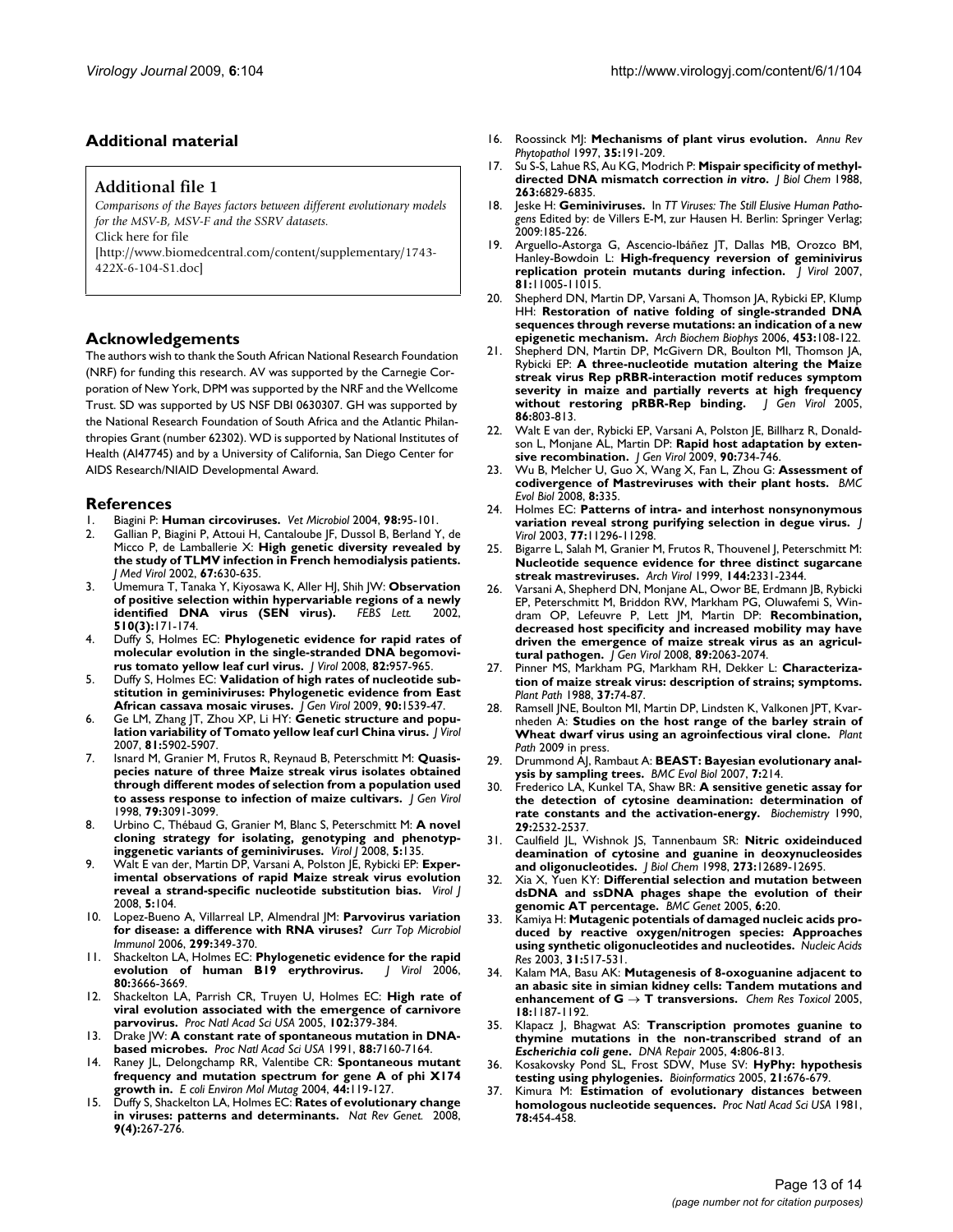#### **Additional material**

#### **Additional file 1**

*Comparisons of the Bayes factors between different evolutionary models for the MSV-B, MSV-F and the SSRV datasets.* Click here for file [\[http://www.biomedcentral.com/content/supplementary/1743-](http://www.biomedcentral.com/content/supplementary/1743-422X-6-104-S1.doc)

422X-6-104-S1.doc]

#### **Acknowledgements**

The authors wish to thank the South African National Research Foundation (NRF) for funding this research. AV was supported by the Carnegie Corporation of New York, DPM was supported by the NRF and the Wellcome Trust. SD was supported by US NSF DBI 0630307. GH was supported by the National Research Foundation of South Africa and the Atlantic Philanthropies Grant (number 62302). WD is supported by National Institutes of Health (AI47745) and by a University of California, San Diego Center for AIDS Research/NIAID Developmental Award.

#### **References**

- 1. Biagini P: **[Human circoviruses.](http://www.ncbi.nlm.nih.gov/entrez/query.fcgi?cmd=Retrieve&db=PubMed&dopt=Abstract&list_uids=14741121)** *Vet Microbiol* 2004, **98:**95-101.
- 2. Gallian P, Biagini P, Attoui H, Cantaloube JF, Dussol B, Berland Y, de Micco P, de Lamballerie X: **[High genetic diversity revealed by](http://www.ncbi.nlm.nih.gov/entrez/query.fcgi?cmd=Retrieve&db=PubMed&dopt=Abstract&list_uids=12116016) [the study of TLMV infection in French hemodialysis patients.](http://www.ncbi.nlm.nih.gov/entrez/query.fcgi?cmd=Retrieve&db=PubMed&dopt=Abstract&list_uids=12116016)** *J Med Virol* 2002, **67:**630-635.
- 3. Umemura T, Tanaka Y, Kiyosawa K, Aller HJ, Shih JW: **[Observation](http://www.ncbi.nlm.nih.gov/entrez/query.fcgi?cmd=Retrieve&db=PubMed&dopt=Abstract&list_uids=11801248) [of positive selection within hypervariable regions of a newly](http://www.ncbi.nlm.nih.gov/entrez/query.fcgi?cmd=Retrieve&db=PubMed&dopt=Abstract&list_uids=11801248) [identified DNA virus \(SEN virus\).](http://www.ncbi.nlm.nih.gov/entrez/query.fcgi?cmd=Retrieve&db=PubMed&dopt=Abstract&list_uids=11801248)** *FEBS Lett.* 2002, **510(3):**171-174.
- 4. Duffy S, Holmes EC: **[Phylogenetic evidence for rapid rates of](http://www.ncbi.nlm.nih.gov/entrez/query.fcgi?cmd=Retrieve&db=PubMed&dopt=Abstract&list_uids=17977971) [molecular evolution in the single-stranded DNA begomovi](http://www.ncbi.nlm.nih.gov/entrez/query.fcgi?cmd=Retrieve&db=PubMed&dopt=Abstract&list_uids=17977971)[rus tomato yellow leaf curl virus.](http://www.ncbi.nlm.nih.gov/entrez/query.fcgi?cmd=Retrieve&db=PubMed&dopt=Abstract&list_uids=17977971)** *J Virol* 2008, **82:**957-965.
- 5. Duffy S, Holmes EC: **[Validation of high rates of nucleotide sub](http://www.ncbi.nlm.nih.gov/entrez/query.fcgi?cmd=Retrieve&db=PubMed&dopt=Abstract&list_uids=19264617)[stitution in geminiviruses: Phylogenetic evidence from East](http://www.ncbi.nlm.nih.gov/entrez/query.fcgi?cmd=Retrieve&db=PubMed&dopt=Abstract&list_uids=19264617) [African cassava mosaic viruses.](http://www.ncbi.nlm.nih.gov/entrez/query.fcgi?cmd=Retrieve&db=PubMed&dopt=Abstract&list_uids=19264617)** *J Gen Virol* 2009, **90:**1539-47.
- 6. Ge LM, Zhang JT, Zhou XP, Li HY: **[Genetic structure and popu](http://www.ncbi.nlm.nih.gov/entrez/query.fcgi?cmd=Retrieve&db=PubMed&dopt=Abstract&list_uids=17376922)[lation variability of Tomato yellow leaf curl China virus.](http://www.ncbi.nlm.nih.gov/entrez/query.fcgi?cmd=Retrieve&db=PubMed&dopt=Abstract&list_uids=17376922)** *J Virol* 2007, **81:**5902-5907.
- 7. Isnard M, Granier M, Frutos R, Reynaud B, Peterschmitt M: **[Quasis](http://www.ncbi.nlm.nih.gov/entrez/query.fcgi?cmd=Retrieve&db=PubMed&dopt=Abstract&list_uids=9880027)[pecies nature of three Maize streak virus isolates obtained](http://www.ncbi.nlm.nih.gov/entrez/query.fcgi?cmd=Retrieve&db=PubMed&dopt=Abstract&list_uids=9880027) through different modes of selection from a population used [to assess response to infection of maize cultivars.](http://www.ncbi.nlm.nih.gov/entrez/query.fcgi?cmd=Retrieve&db=PubMed&dopt=Abstract&list_uids=9880027)** *J Gen Virol* 1998, **79:**3091-3099.
- 8. Urbino C, Thébaud G, Granier M, Blanc S, Peterschmitt M: **[A novel](http://www.ncbi.nlm.nih.gov/entrez/query.fcgi?cmd=Retrieve&db=PubMed&dopt=Abstract&list_uids=18976479) [cloning strategy for isolating, genotyping and phenotyp](http://www.ncbi.nlm.nih.gov/entrez/query.fcgi?cmd=Retrieve&db=PubMed&dopt=Abstract&list_uids=18976479)[inggenetic variants of geminiviruses.](http://www.ncbi.nlm.nih.gov/entrez/query.fcgi?cmd=Retrieve&db=PubMed&dopt=Abstract&list_uids=18976479)** *Virol J* 2008, **5:**135.
- 9. Walt E van der, Martin DP, Varsani A, Polston JE, Rybicki EP: **[Exper](http://www.ncbi.nlm.nih.gov/entrez/query.fcgi?cmd=Retrieve&db=PubMed&dopt=Abstract&list_uids=18816368)[imental observations of rapid Maize streak virus evolution](http://www.ncbi.nlm.nih.gov/entrez/query.fcgi?cmd=Retrieve&db=PubMed&dopt=Abstract&list_uids=18816368) [reveal a strand-specific nucleotide substitution bias.](http://www.ncbi.nlm.nih.gov/entrez/query.fcgi?cmd=Retrieve&db=PubMed&dopt=Abstract&list_uids=18816368)** *Virol J* 2008, **5:**104.
- 10. Lopez-Bueno A, Villarreal LP, Almendral JM: **[Parvovirus variation](http://www.ncbi.nlm.nih.gov/entrez/query.fcgi?cmd=Retrieve&db=PubMed&dopt=Abstract&list_uids=16568906) [for disease: a difference with RNA viruses?](http://www.ncbi.nlm.nih.gov/entrez/query.fcgi?cmd=Retrieve&db=PubMed&dopt=Abstract&list_uids=16568906)** *Curr Top Microbiol Immunol* 2006, **299:**349-370.
- 11. Shackelton LA, Holmes EC: **[Phylogenetic evidence for the rapid](http://www.ncbi.nlm.nih.gov/entrez/query.fcgi?cmd=Retrieve&db=PubMed&dopt=Abstract&list_uids=16537636) [evolution of human B19 erythrovirus.](http://www.ncbi.nlm.nih.gov/entrez/query.fcgi?cmd=Retrieve&db=PubMed&dopt=Abstract&list_uids=16537636)** *J Virol* 2006, **80:**3666-3669.
- 12. Shackelton LA, Parrish CR, Truyen U, Holmes EC: **[High rate of](http://www.ncbi.nlm.nih.gov/entrez/query.fcgi?cmd=Retrieve&db=PubMed&dopt=Abstract&list_uids=15626758) [viral evolution associated with the emergence of carnivore](http://www.ncbi.nlm.nih.gov/entrez/query.fcgi?cmd=Retrieve&db=PubMed&dopt=Abstract&list_uids=15626758) [parvovirus.](http://www.ncbi.nlm.nih.gov/entrez/query.fcgi?cmd=Retrieve&db=PubMed&dopt=Abstract&list_uids=15626758)** *Proc Natl Acad Sci USA* 2005, **102:**379-384.
- 13. Drake JW: **[A constant rate of spontaneous mutation in DNA](http://www.ncbi.nlm.nih.gov/entrez/query.fcgi?cmd=Retrieve&db=PubMed&dopt=Abstract&list_uids=1831267)[based microbes.](http://www.ncbi.nlm.nih.gov/entrez/query.fcgi?cmd=Retrieve&db=PubMed&dopt=Abstract&list_uids=1831267)** *Proc Natl Acad Sci USA* 1991, **88:**7160-7164.
- 14. Raney JL, Delongchamp RR, Valentibe CR: **Spontaneous mutant frequency and mutation spectrum for gene A of phi X174 growth in.** *E coli Environ Mol Mutag* 2004, **44:**119-127.
- 15. Duffy S, Shackelton LA, Holmes EC: **[Rates of evolutionary change](http://www.ncbi.nlm.nih.gov/entrez/query.fcgi?cmd=Retrieve&db=PubMed&dopt=Abstract&list_uids=18319742) [in viruses: patterns and determinants.](http://www.ncbi.nlm.nih.gov/entrez/query.fcgi?cmd=Retrieve&db=PubMed&dopt=Abstract&list_uids=18319742)** *Nat Rev Genet.* 2008, **9(4):**267-276.
- 16. Roossinck MJ: **[Mechanisms of plant virus evolution.](http://www.ncbi.nlm.nih.gov/entrez/query.fcgi?cmd=Retrieve&db=PubMed&dopt=Abstract&list_uids=15012521)** *Annu Rev Phytopathol* 1997, **35:**191-209.
- 17. Su S-S, Lahue RS, Au KG, Modrich P: **Mispair specificity of methyldirected DNA mismatch correction** *in vitro***[.](http://www.ncbi.nlm.nih.gov/entrez/query.fcgi?cmd=Retrieve&db=PubMed&dopt=Abstract&list_uids=2834393)** *J Biol Chem* 1988, **263:**6829-6835.
- 18. Jeske H: **Geminiviruses.** In *TT Viruses: The Still Elusive Human Pathogens* Edited by: de Villers E-M, zur Hausen H. Berlin: Springer Verlag; 2009:185-226.
- 19. Arguello-Astorga G, Ascencio-Ibáñez JT, Dallas MB, Orozco BM, Hanley-Bowdoin L: **[High-frequency reversion of geminivirus](http://www.ncbi.nlm.nih.gov/entrez/query.fcgi?cmd=Retrieve&db=PubMed&dopt=Abstract&list_uids=17670823) [replication protein mutants during infection.](http://www.ncbi.nlm.nih.gov/entrez/query.fcgi?cmd=Retrieve&db=PubMed&dopt=Abstract&list_uids=17670823)** *J Virol* 2007, **81:**11005-11015.
- 20. Shepherd DN, Martin DP, Varsani A, Thomson JA, Rybicki EP, Klump HH: **[Restoration of native folding of single-stranded DNA](http://www.ncbi.nlm.nih.gov/entrez/query.fcgi?cmd=Retrieve&db=PubMed&dopt=Abstract&list_uids=16427599) [sequences through reverse mutations: an indication of a new](http://www.ncbi.nlm.nih.gov/entrez/query.fcgi?cmd=Retrieve&db=PubMed&dopt=Abstract&list_uids=16427599) [epigenetic mechanism.](http://www.ncbi.nlm.nih.gov/entrez/query.fcgi?cmd=Retrieve&db=PubMed&dopt=Abstract&list_uids=16427599)** *Arch Biochem Biophys* 2006, **453:**108-122.
- Shepherd DN, Martin DP, McGivern DR, Boulton MI, Thomson JA, Rybicki EP: **[A three-nucleotide mutation altering the Maize](http://www.ncbi.nlm.nih.gov/entrez/query.fcgi?cmd=Retrieve&db=PubMed&dopt=Abstract&list_uids=15722543) [streak virus Rep pRBR-interaction motif reduces symptom](http://www.ncbi.nlm.nih.gov/entrez/query.fcgi?cmd=Retrieve&db=PubMed&dopt=Abstract&list_uids=15722543) severity in maize and partially reverts at high frequency [without restoring pRBR-Rep binding.](http://www.ncbi.nlm.nih.gov/entrez/query.fcgi?cmd=Retrieve&db=PubMed&dopt=Abstract&list_uids=15722543)** *J Gen Virol* 2005, **86:**803-813.
- 22. Walt E van der, Rybicki EP, Varsani A, Polston JE, Billharz R, Donaldson L, Monjane AL, Martin DP: **[Rapid host adaptation by exten](http://www.ncbi.nlm.nih.gov/entrez/query.fcgi?cmd=Retrieve&db=PubMed&dopt=Abstract&list_uids=19218220)[sive recombination.](http://www.ncbi.nlm.nih.gov/entrez/query.fcgi?cmd=Retrieve&db=PubMed&dopt=Abstract&list_uids=19218220)** *J Gen Virol* 2009, **90:**734-746.
- 23. Wu B, Melcher U, Guo X, Wang X, Fan L, Zhou G: **[Assessment of](http://www.ncbi.nlm.nih.gov/entrez/query.fcgi?cmd=Retrieve&db=PubMed&dopt=Abstract&list_uids=19094195) [codivergence of Mastreviruses with their plant hosts.](http://www.ncbi.nlm.nih.gov/entrez/query.fcgi?cmd=Retrieve&db=PubMed&dopt=Abstract&list_uids=19094195)** *BMC Evol Biol* 2008, **8:**335.
- 24. Holmes EC: **[Patterns of intra- and interhost nonsynonymous](http://www.ncbi.nlm.nih.gov/entrez/query.fcgi?cmd=Retrieve&db=PubMed&dopt=Abstract&list_uids=14512579) [variation reveal strong purifying selection in degue virus.](http://www.ncbi.nlm.nih.gov/entrez/query.fcgi?cmd=Retrieve&db=PubMed&dopt=Abstract&list_uids=14512579)** *J Virol* 2003, **77:**11296-11298.
- 25. Bigarre L, Salah M, Granier M, Frutos R, Thouvenel J, Peterschmitt M: **[Nucleotide sequence evidence for three distinct sugarcane](http://www.ncbi.nlm.nih.gov/entrez/query.fcgi?cmd=Retrieve&db=PubMed&dopt=Abstract&list_uids=10664387) [streak mastreviruses.](http://www.ncbi.nlm.nih.gov/entrez/query.fcgi?cmd=Retrieve&db=PubMed&dopt=Abstract&list_uids=10664387)** *Arch Virol* 1999, **144:**2331-2344.
- 26. Varsani A, Shepherd DN, Monjane AL, Owor BE, Erdmann JB, Rybicki EP, Peterschmitt M, Briddon RW, Markham PG, Oluwafemi S, Windram OP, Lefeuvre P, Lett JM, Martin DP: **[Recombination,](http://www.ncbi.nlm.nih.gov/entrez/query.fcgi?cmd=Retrieve&db=PubMed&dopt=Abstract&list_uids=18753214) [decreased host specificity and increased mobility may have](http://www.ncbi.nlm.nih.gov/entrez/query.fcgi?cmd=Retrieve&db=PubMed&dopt=Abstract&list_uids=18753214) driven the emergence of maize streak virus as an agricul[tural pathogen.](http://www.ncbi.nlm.nih.gov/entrez/query.fcgi?cmd=Retrieve&db=PubMed&dopt=Abstract&list_uids=18753214)** *J Gen Virol* 2008, **89:**2063-2074.
- Pinner MS, Markham PG, Markham RH, Dekker L: Characteriza**tion of maize streak virus: description of strains; symptoms.** *Plant Path* 1988, **37:**74-87.
- 28. Ramsell JNE, Boulton MI, Martin DP, Lindsten K, Valkonen JPT, Kvarnheden A: **Studies on the host range of the barley strain of Wheat dwarf virus using an agroinfectious viral clone.** *Plant Path* 2009 in press.
- 29. Drummond AJ, Rambaut A: **[BEAST: Bayesian evolutionary anal](http://www.ncbi.nlm.nih.gov/entrez/query.fcgi?cmd=Retrieve&db=PubMed&dopt=Abstract&list_uids=17996036)[ysis by sampling trees.](http://www.ncbi.nlm.nih.gov/entrez/query.fcgi?cmd=Retrieve&db=PubMed&dopt=Abstract&list_uids=17996036)** *BMC Evol Biol* 2007, **7:**214.
- 30. Frederico LA, Kunkel TA, Shaw BR: **[A sensitive genetic assay for](http://www.ncbi.nlm.nih.gov/entrez/query.fcgi?cmd=Retrieve&db=PubMed&dopt=Abstract&list_uids=2185829) [the detection of cytosine deamination: determination of](http://www.ncbi.nlm.nih.gov/entrez/query.fcgi?cmd=Retrieve&db=PubMed&dopt=Abstract&list_uids=2185829) [rate constants and the activation-energy.](http://www.ncbi.nlm.nih.gov/entrez/query.fcgi?cmd=Retrieve&db=PubMed&dopt=Abstract&list_uids=2185829)** *Biochemistry* 1990, **29:**2532-2537.
- 31. Caulfield JL, Wishnok JS, Tannenbaum SR: **[Nitric oxideinduced](http://www.ncbi.nlm.nih.gov/entrez/query.fcgi?cmd=Retrieve&db=PubMed&dopt=Abstract&list_uids=9582291) [deamination of cytosine and guanine in deoxynucleosides](http://www.ncbi.nlm.nih.gov/entrez/query.fcgi?cmd=Retrieve&db=PubMed&dopt=Abstract&list_uids=9582291) [and oligonucleotides.](http://www.ncbi.nlm.nih.gov/entrez/query.fcgi?cmd=Retrieve&db=PubMed&dopt=Abstract&list_uids=9582291)** *J Biol Chem* 1998, **273:**12689-12695.
- 32. Xia X, Yuen KY: **[Differential selection and mutation between](http://www.ncbi.nlm.nih.gov/entrez/query.fcgi?cmd=Retrieve&db=PubMed&dopt=Abstract&list_uids=15823202) [dsDNA and ssDNA phages shape the evolution of their](http://www.ncbi.nlm.nih.gov/entrez/query.fcgi?cmd=Retrieve&db=PubMed&dopt=Abstract&list_uids=15823202) [genomic AT percentage.](http://www.ncbi.nlm.nih.gov/entrez/query.fcgi?cmd=Retrieve&db=PubMed&dopt=Abstract&list_uids=15823202)** *BMC Genet* 2005, **6:**20.
- 33. Kamiya H: **[Mutagenic potentials of damaged nucleic acids pro](http://www.ncbi.nlm.nih.gov/entrez/query.fcgi?cmd=Retrieve&db=PubMed&dopt=Abstract&list_uids=12527759)[duced by reactive oxygen/nitrogen species: Approaches](http://www.ncbi.nlm.nih.gov/entrez/query.fcgi?cmd=Retrieve&db=PubMed&dopt=Abstract&list_uids=12527759) [using synthetic oligonucleotides and nucleotides.](http://www.ncbi.nlm.nih.gov/entrez/query.fcgi?cmd=Retrieve&db=PubMed&dopt=Abstract&list_uids=12527759)** *Nucleic Acids Res* 2003, **31:**517-531.
- 34. Kalam MA, Basu AK: **Mutagenesis of 8-oxoguanine adjacent to an abasic site in simian kidney cells: Tandem mutations and enhancement of**  $G \rightarrow T$  **transversions.** *Chem Res Toxicol* 2005, **18:**1187-1192.
- 35. Klapacz J, Bhagwat AS: **Transcription promotes guanine to thymine mutations in the non-transcribed strand of an** *Escherichia coli gene***[.](http://www.ncbi.nlm.nih.gov/entrez/query.fcgi?cmd=Retrieve&db=PubMed&dopt=Abstract&list_uids=15961353)** *DNA Repair* 2005, **4:**806-813.
- 36. Kosakovsky Pond SL, Frost SDW, Muse SV: **[HyPhy: hypothesis](http://www.ncbi.nlm.nih.gov/entrez/query.fcgi?cmd=Retrieve&db=PubMed&dopt=Abstract&list_uids=15509596) [testing using phylogenies.](http://www.ncbi.nlm.nih.gov/entrez/query.fcgi?cmd=Retrieve&db=PubMed&dopt=Abstract&list_uids=15509596)** *Bioinformatics* 2005, **21:**676-679.
- 37. Kimura M: **[Estimation of evolutionary distances between](http://www.ncbi.nlm.nih.gov/entrez/query.fcgi?cmd=Retrieve&db=PubMed&dopt=Abstract&list_uids=6165991) [homologous nucleotide sequences.](http://www.ncbi.nlm.nih.gov/entrez/query.fcgi?cmd=Retrieve&db=PubMed&dopt=Abstract&list_uids=6165991)** *Proc Natl Acad Sci USA* 1981, **78:**454-458.